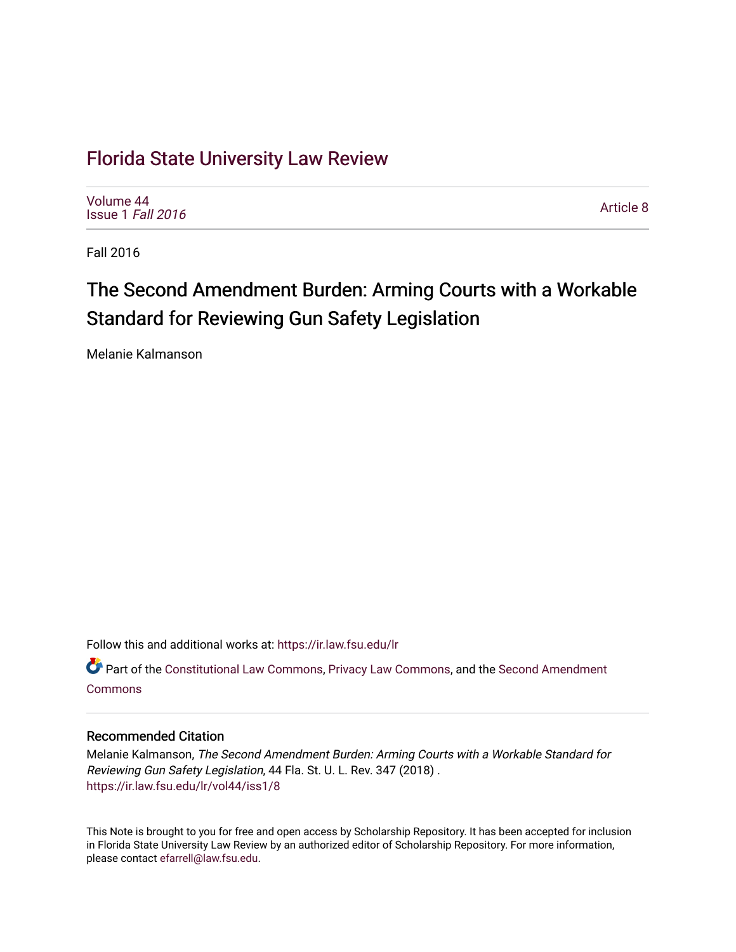## [Florida State University Law Review](https://ir.law.fsu.edu/lr)

[Volume 44](https://ir.law.fsu.edu/lr/vol44) [Issue 1](https://ir.law.fsu.edu/lr/vol44/iss1) Fall 2016

[Article 8](https://ir.law.fsu.edu/lr/vol44/iss1/8) 

Fall 2016

# The Second Amendment Burden: Arming Courts with a Workable Standard for Reviewing Gun Safety Legislation

Melanie Kalmanson

Follow this and additional works at: [https://ir.law.fsu.edu/lr](https://ir.law.fsu.edu/lr?utm_source=ir.law.fsu.edu%2Flr%2Fvol44%2Fiss1%2F8&utm_medium=PDF&utm_campaign=PDFCoverPages) 

Part of the [Constitutional Law Commons,](http://network.bepress.com/hgg/discipline/589?utm_source=ir.law.fsu.edu%2Flr%2Fvol44%2Fiss1%2F8&utm_medium=PDF&utm_campaign=PDFCoverPages) [Privacy Law Commons,](http://network.bepress.com/hgg/discipline/1234?utm_source=ir.law.fsu.edu%2Flr%2Fvol44%2Fiss1%2F8&utm_medium=PDF&utm_campaign=PDFCoverPages) and the [Second Amendment](http://network.bepress.com/hgg/discipline/1119?utm_source=ir.law.fsu.edu%2Flr%2Fvol44%2Fiss1%2F8&utm_medium=PDF&utm_campaign=PDFCoverPages) [Commons](http://network.bepress.com/hgg/discipline/1119?utm_source=ir.law.fsu.edu%2Flr%2Fvol44%2Fiss1%2F8&utm_medium=PDF&utm_campaign=PDFCoverPages)

#### Recommended Citation

Melanie Kalmanson, The Second Amendment Burden: Arming Courts with a Workable Standard for Reviewing Gun Safety Legislation, 44 Fla. St. U. L. Rev. 347 (2018) . [https://ir.law.fsu.edu/lr/vol44/iss1/8](https://ir.law.fsu.edu/lr/vol44/iss1/8?utm_source=ir.law.fsu.edu%2Flr%2Fvol44%2Fiss1%2F8&utm_medium=PDF&utm_campaign=PDFCoverPages)

This Note is brought to you for free and open access by Scholarship Repository. It has been accepted for inclusion in Florida State University Law Review by an authorized editor of Scholarship Repository. For more information, please contact [efarrell@law.fsu.edu.](mailto:efarrell@law.fsu.edu)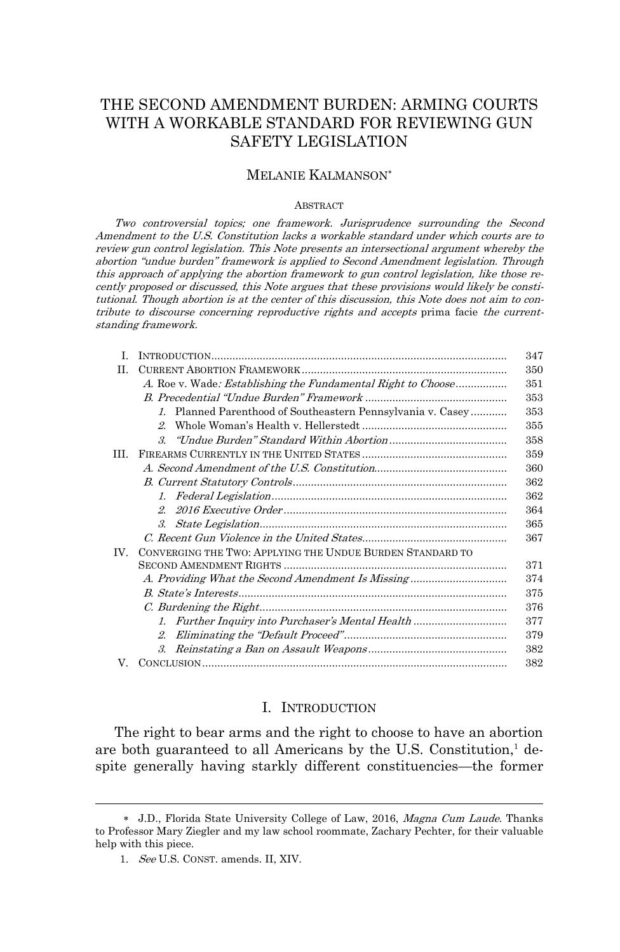### THE SECOND AMENDMENT BURDEN: ARMING COURTS WITH A WORKABLE STANDARD FOR REVIEWING GUN SAFETY LEGISLATION

#### MELANIE KALMANSON<sup>∗</sup>

#### ABSTRACT

Two controversial topics; one framework. Jurisprudence surrounding the Second Amendment to the U.S. Constitution lacks a workable standard under which courts are to review gun control legislation. This Note presents an intersectional argument whereby the abortion "undue burden" framework is applied to Second Amendment legislation. Through this approach of applying the abortion framework to gun control legislation, like those recently proposed or discussed, this Note argues that these provisions would likely be constitutional. Though abortion is at the center of this discussion, this Note does not aim to contribute to discourse concerning reproductive rights and accepts prima facie the currentstanding framework.

| T.   |                                                              | 347 |
|------|--------------------------------------------------------------|-----|
| H.   |                                                              | 350 |
|      | A. Roe v. Wade: Establishing the Fundamental Right to Choose | 351 |
|      |                                                              | 353 |
|      | 1. Planned Parenthood of Southeastern Pennsylvania v. Casey  | 353 |
|      | 2                                                            | 355 |
|      | $\mathcal{S}_{\mathcal{S}}$                                  | 358 |
| III. |                                                              | 359 |
|      |                                                              | 360 |
|      |                                                              | 362 |
|      |                                                              | 362 |
|      |                                                              | 364 |
|      |                                                              | 365 |
|      |                                                              | 367 |
| IV.  | CONVERGING THE TWO: APPLYING THE UNDUE BURDEN STANDARD TO    |     |
|      |                                                              | 371 |
|      | A. Providing What the Second Amendment Is Missing            | 374 |
|      |                                                              | 375 |
|      |                                                              | 376 |
|      | 1. Further Inquiry into Purchaser's Mental Health            | 377 |
|      | 2.                                                           | 379 |
|      | $\mathcal{S}_{\cdot}$                                        | 382 |
| V    |                                                              | 382 |

#### I. INTRODUCTION

 The right to bear arms and the right to choose to have an abortion are both guaranteed to all Americans by the U.S. Constitution,<sup>1</sup> despite generally having starkly different constituencies—the former

<sup>∗</sup> J.D., Florida State University College of Law, 2016, Magna Cum Laude. Thanks to Professor Mary Ziegler and my law school roommate, Zachary Pechter, for their valuable help with this piece.

 <sup>1.</sup> See U.S. CONST. amends. II, XIV.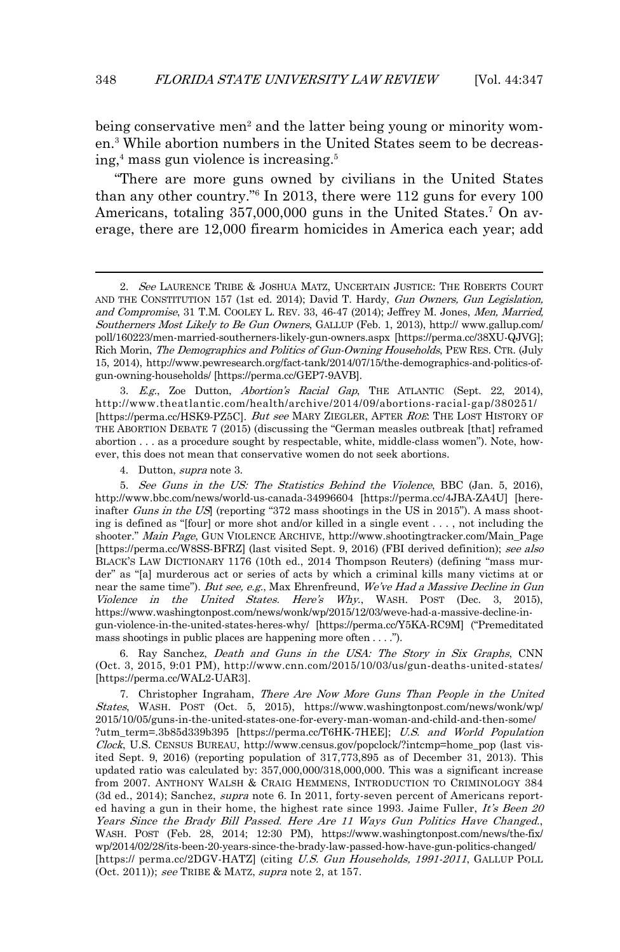being conservative men<sup>2</sup> and the latter being young or minority women.3 While abortion numbers in the United States seem to be decreasing,4 mass gun violence is increasing.5

"There are more guns owned by civilians in the United States than any other country."6 In 2013, there were 112 guns for every 100 Americans, totaling 357,000,000 guns in the United States. <sup>7</sup> On average, there are 12,000 firearm homicides in America each year; add

3. E.g., Zoe Dutton, Abortion's Racial Gap, THE ATLANTIC (Sept. 22, 2014), http://www.theatlantic.com/health/archive/2014/09/abortions-racial-gap/380251/ [https://perma.cc/HSK9-PZ5C]. But see MARY ZIEGLER, AFTER ROE: THE LOST HISTORY OF THE ABORTION DEBATE 7 (2015) (discussing the "German measles outbreak [that] reframed abortion . . . as a procedure sought by respectable, white, middle-class women"). Note, however, this does not mean that conservative women do not seek abortions.

4. Dutton, *supra* note 3.

 $\overline{a}$ 

 5. See Guns in the US: The Statistics Behind the Violence, BBC (Jan. 5, 2016), http://www.bbc.com/news/world-us-canada-34996604 [https://perma.cc/4JBA-ZA4U] [hereinafter Guns in the US (reporting "372 mass shootings in the US in 2015"). A mass shooting is defined as "[four] or more shot and/or killed in a single event . . . , not including the shooter." Main Page, GUN VIOLENCE ARCHIVE, http://www.shootingtracker.com/Main\_Page [https://perma.cc/W8SS-BFRZ] (last visited Sept. 9, 2016) (FBI derived definition); see also BLACK'S LAW DICTIONARY 1176 (10th ed., 2014 Thompson Reuters) (defining "mass murder" as "[a] murderous act or series of acts by which a criminal kills many victims at or near the same time"). But see, e.g., Max Ehrenfreund, We've Had a Massive Decline in Gun Violence in the United States. Here's Why., WASH. POST (Dec. 3, 2015), https://www.washingtonpost.com/news/wonk/wp/2015/12/03/weve-had-a-massive-decline-ingun-violence-in-the-united-states-heres-why/ [https://perma.cc/Y5KA-RC9M] ("Premeditated mass shootings in public places are happening more often . . . .").

 6. Ray Sanchez, Death and Guns in the USA: The Story in Six Graphs, CNN  $(Oct. 3, 2015, 9.01 PM)$ , http://www.cnn.com/2015/10/03/us/gun-deaths-united-states/ [https://perma.cc/WAL2-UAR3].

 7. Christopher Ingraham, There Are Now More Guns Than People in the United States, WASH. POST (Oct. 5, 2015), https://www.washingtonpost.com/news/wonk/wp/ 2015/10/05/guns-in-the-united-states-one-for-every-man-woman-and-child-and-then-some/ ?utm\_term=.3b85d339b395 [https://perma.cc/T6HK-7HEE]; U.S. and World Population Clock, U.S. CENSUS BUREAU, http://www.census.gov/popclock/?intcmp=home\_pop (last visited Sept. 9, 2016) (reporting population of 317,773,895 as of December 31, 2013). This updated ratio was calculated by: 357,000,000/318,000,000. This was a significant increase from 2007. ANTHONY WALSH & CRAIG HEMMENS, INTRODUCTION TO CRIMINOLOGY 384 (3d ed., 2014); Sanchez, *supra* note 6. In 2011, forty-seven percent of Americans reported having a gun in their home, the highest rate since 1993. Jaime Fuller, It's Been 20 Years Since the Brady Bill Passed. Here Are 11 Ways Gun Politics Have Changed., WASH. POST (Feb. 28, 2014; 12:30 PM), https://www.washingtonpost.com/news/the-fix/ wp/2014/02/28/its-been-20-years-since-the-brady-law-passed-how-have-gun-politics-changed/ [https:// perma.cc/2DGV-HATZ] (citing U.S. Gun Households, 1991-2011, GALLUP POLL (Oct. 2011)); see TRIBE & MATZ, supra note 2, at 157.

<sup>2.</sup> See LAURENCE TRIBE & JOSHUA MATZ, UNCERTAIN JUSTICE: THE ROBERTS COURT AND THE CONSTITUTION 157 (1st ed. 2014); David T. Hardy, Gun Owners, Gun Legislation, and Compromise, 31 T.M. COOLEY L. REV. 33, 46-47 (2014); Jeffrey M. Jones, Men, Married, Southerners Most Likely to Be Gun Owners, GALLUP (Feb. 1, 2013), http:// www.gallup.com/ poll/160223/men-married-southerners-likely-gun-owners.aspx [https://perma.cc/38XU-QJVG]; Rich Morin, The Demographics and Politics of Gun-Owning Households, PEW RES. CTR. (July 15, 2014), http://www.pewresearch.org/fact-tank/2014/07/15/the-demographics-and-politics-ofgun-owning-households/ [https://perma.cc/GEP7-9AVB].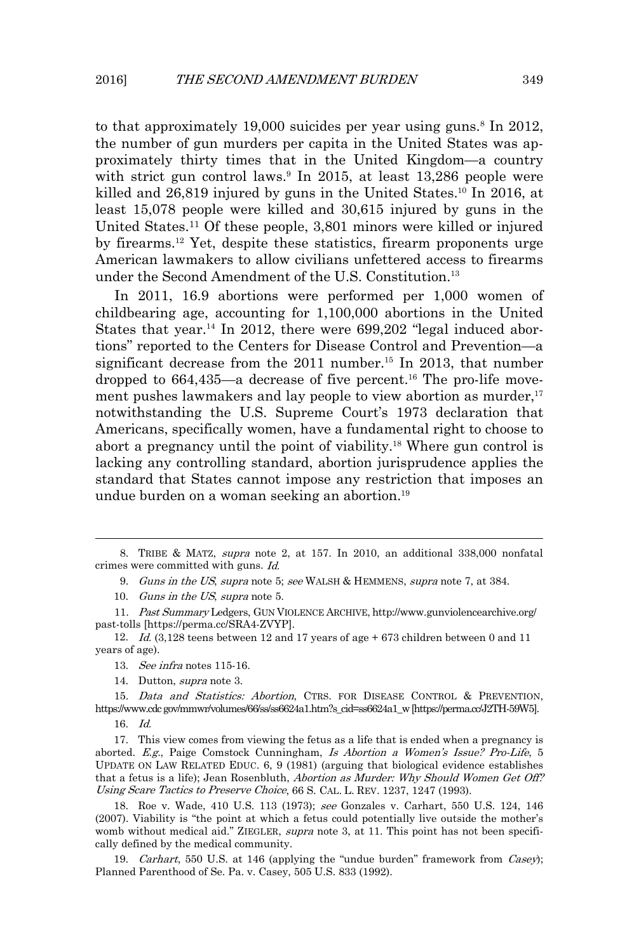to that approximately 19,000 suicides per year using guns.<sup>8</sup> In 2012, the number of gun murders per capita in the United States was approximately thirty times that in the United Kingdom—a country with strict gun control laws.<sup>9</sup> In 2015, at least 13,286 people were killed and 26,819 injured by guns in the United States.<sup>10</sup> In 2016, at least 15,078 people were killed and 30,615 injured by guns in the United States.11 Of these people, 3,801 minors were killed or injured by firearms.12 Yet, despite these statistics, firearm proponents urge American lawmakers to allow civilians unfettered access to firearms under the Second Amendment of the U.S. Constitution.<sup>13</sup>

In 2011, 16.9 abortions were performed per 1,000 women of childbearing age, accounting for 1,100,000 abortions in the United States that year.<sup>14</sup> In 2012, there were 699,202 "legal induced abortions" reported to the Centers for Disease Control and Prevention—a significant decrease from the 2011 number. <sup>15</sup> In 2013, that number dropped to  $664,435$ —a decrease of five percent.<sup>16</sup> The pro-life movement pushes lawmakers and lay people to view abortion as murder, 17 notwithstanding the U.S. Supreme Court's 1973 declaration that Americans, specifically women, have a fundamental right to choose to abort a pregnancy until the point of viability.18 Where gun control is lacking any controlling standard, abortion jurisprudence applies the standard that States cannot impose any restriction that imposes an undue burden on a woman seeking an abortion.19

9. Guns in the US, supra note 5; see WALSH & HEMMENS, supra note 7, at 384.

10. Guns in the US, supra note 5.

11. Past Summary Ledgers, GUN VIOLENCE ARCHIVE, http://www.gunviolencearchive.org/ past-tolls [https://perma.cc/SRA4-ZVYP].

12. Id.  $(3,128$  teens between 12 and 17 years of age  $+ 673$  children between 0 and 11 years of age).

14. Dutton, supra note 3.

15. Data and Statistics: Abortion, CTRS. FOR DISEASE CONTROL & PREVENTION, https://www.cdcgov/mmwr/volumes/66/ss/ss6624a1.htm?s\_cid=ss6624a1\_w [https://perma.cc/J2TH-59W5].

 <sup>8.</sup> TRIBE & MATZ, supra note 2, at 157. In 2010, an additional 338,000 nonfatal crimes were committed with guns. Id.

<sup>13.</sup> See infra notes 115-16.

<sup>16.</sup> Id.

<sup>17.</sup> This view comes from viewing the fetus as a life that is ended when a pregnancy is aborted. E.g., Paige Comstock Cunningham, Is Abortion a Women's Issue? Pro-Life, 5 UPDATE ON LAW RELATED EDUC. 6, 9 (1981) (arguing that biological evidence establishes that a fetus is a life); Jean Rosenbluth, *Abortion as Murder: Why Should Women Get Off?* Using Scare Tactics to Preserve Choice, 66 S. CAL. L. REV. 1237, 1247 (1993).

<sup>18.</sup> Roe v. Wade, 410 U.S. 113 (1973); see Gonzales v. Carhart, 550 U.S. 124, 146 (2007). Viability is "the point at which a fetus could potentially live outside the mother's womb without medical aid." ZIEGLER, supra note 3, at 11. This point has not been specifically defined by the medical community.

<sup>19.</sup> Carhart, 550 U.S. at 146 (applying the "undue burden" framework from Casey); Planned Parenthood of Se. Pa. v. Casey, 505 U.S. 833 (1992).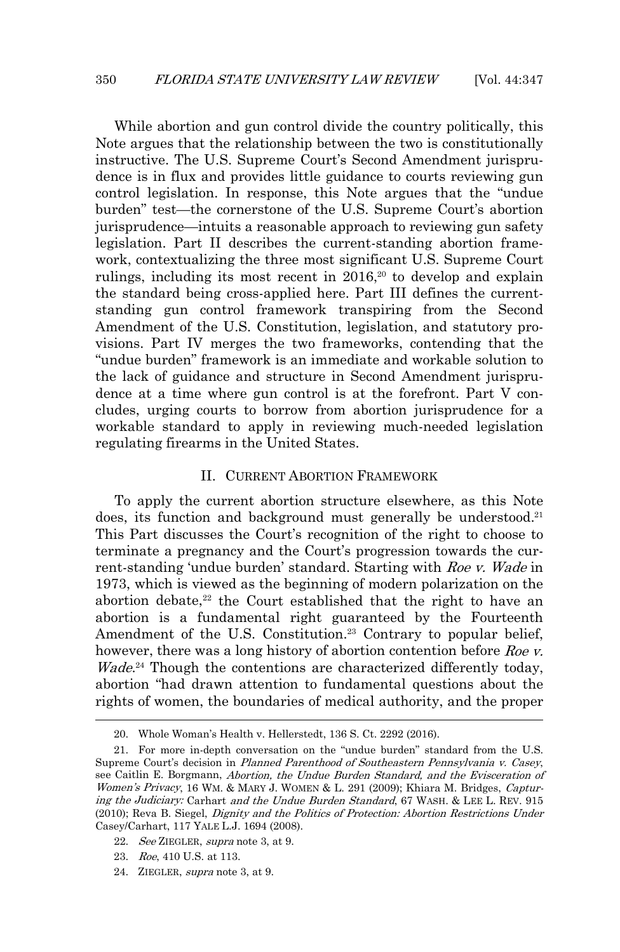While abortion and gun control divide the country politically, this Note argues that the relationship between the two is constitutionally instructive. The U.S. Supreme Court's Second Amendment jurisprudence is in flux and provides little guidance to courts reviewing gun control legislation. In response, this Note argues that the "undue burden" test—the cornerstone of the U.S. Supreme Court's abortion jurisprudence—intuits a reasonable approach to reviewing gun safety legislation. Part II describes the current-standing abortion framework, contextualizing the three most significant U.S. Supreme Court rulings, including its most recent in  $2016$ ,<sup>20</sup> to develop and explain the standard being cross-applied here. Part III defines the currentstanding gun control framework transpiring from the Second Amendment of the U.S. Constitution, legislation, and statutory provisions. Part IV merges the two frameworks, contending that the "undue burden" framework is an immediate and workable solution to the lack of guidance and structure in Second Amendment jurisprudence at a time where gun control is at the forefront. Part V concludes, urging courts to borrow from abortion jurisprudence for a workable standard to apply in reviewing much-needed legislation regulating firearms in the United States.

#### II. CURRENT ABORTION FRAMEWORK

To apply the current abortion structure elsewhere, as this Note does, its function and background must generally be understood. 21 This Part discusses the Court's recognition of the right to choose to terminate a pregnancy and the Court's progression towards the current-standing 'undue burden' standard. Starting with Roe v. Wade in 1973, which is viewed as the beginning of modern polarization on the abortion debate, <sup>22</sup> the Court established that the right to have an abortion is a fundamental right guaranteed by the Fourteenth Amendment of the U.S. Constitution. 23 Contrary to popular belief, however, there was a long history of abortion contention before Roe v. Wade.<sup>24</sup> Though the contentions are characterized differently today, abortion "had drawn attention to fundamental questions about the rights of women, the boundaries of medical authority, and the proper

23. Roe, 410 U.S. at 113.

 $\overline{a}$ 

24. ZIEGLER, supra note 3, at 9.

<sup>20.</sup> Whole Woman's Health v. Hellerstedt, 136 S. Ct. 2292 (2016).

<sup>21.</sup> For more in-depth conversation on the "undue burden" standard from the U.S. Supreme Court's decision in Planned Parenthood of Southeastern Pennsylvania v. Casey, see Caitlin E. Borgmann, Abortion, the Undue Burden Standard, and the Evisceration of Women's Privacy, 16 WM. & MARY J. WOMEN & L. 291 (2009); Khiara M. Bridges, Capturing the Judiciary: Carhart and the Undue Burden Standard, 67 WASH. & LEE L. REV. 915 (2010); Reva B. Siegel, Dignity and the Politics of Protection: Abortion Restrictions Under Casey/Carhart, 117 YALE L.J. 1694 (2008).

<sup>22.</sup> See ZIEGLER, supra note 3, at 9.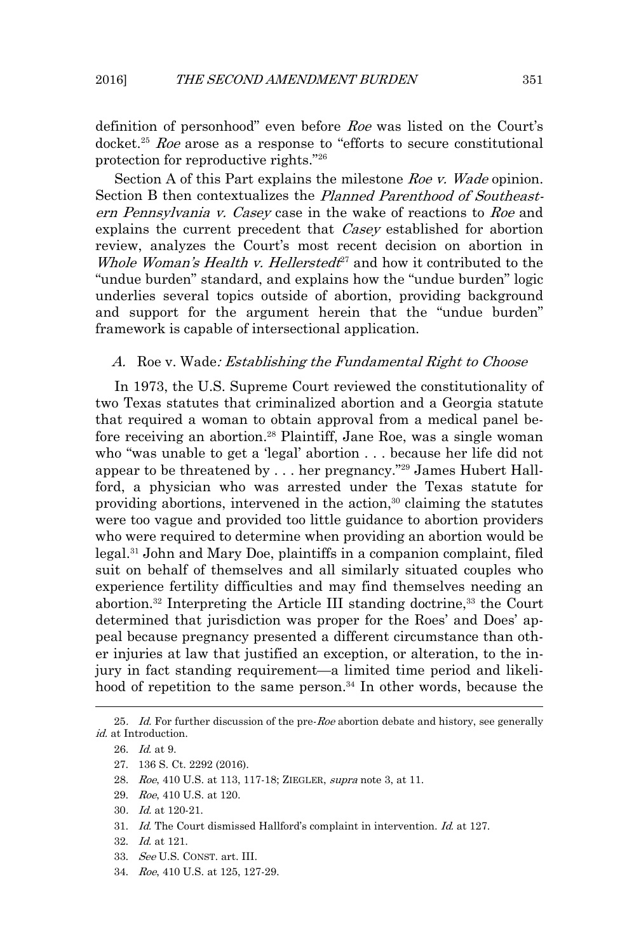definition of personhood" even before Roe was listed on the Court's docket.<sup>25</sup> Roe arose as a response to "efforts to secure constitutional protection for reproductive rights."26

Section A of this Part explains the milestone Roe v. Wade opinion. Section B then contextualizes the Planned Parenthood of Southeastern Pennsylvania v. Casey case in the wake of reactions to Roe and explains the current precedent that *Casey* established for abortion review, analyzes the Court's most recent decision on abortion in Whole Woman's Health v. Hellersted $t^{27}$  and how it contributed to the "undue burden" standard, and explains how the "undue burden" logic underlies several topics outside of abortion, providing background and support for the argument herein that the "undue burden" framework is capable of intersectional application.

#### A. Roe v. Wade: *Establishing the Fundamental Right to Choose*

In 1973, the U.S. Supreme Court reviewed the constitutionality of two Texas statutes that criminalized abortion and a Georgia statute that required a woman to obtain approval from a medical panel before receiving an abortion. 28 Plaintiff, Jane Roe, was a single woman who "was unable to get a 'legal' abortion . . . because her life did not appear to be threatened by . . . her pregnancy."29 James Hubert Hallford, a physician who was arrested under the Texas statute for providing abortions, intervened in the action, $30$  claiming the statutes were too vague and provided too little guidance to abortion providers who were required to determine when providing an abortion would be legal. 31 John and Mary Doe, plaintiffs in a companion complaint, filed suit on behalf of themselves and all similarly situated couples who experience fertility difficulties and may find themselves needing an abortion.<sup>32</sup> Interpreting the Article III standing doctrine,<sup>33</sup> the Court determined that jurisdiction was proper for the Roes' and Does' appeal because pregnancy presented a different circumstance than other injuries at law that justified an exception, or alteration, to the injury in fact standing requirement—a limited time period and likelihood of repetition to the same person.<sup>34</sup> In other words, because the

- 27. 136 S. Ct. 2292 (2016).
- 28. Roe, 410 U.S. at 113, 117-18; ZIEGLER, supra note 3, at 11.
- 29. Roe, 410 U.S. at 120.
- 30. Id. at 120-21.
- 31. Id. The Court dismissed Hallford's complaint in intervention. Id. at 127.
- 32. Id. at 121.
- 33. See U.S. CONST. art. III.
- 34. Roe, 410 U.S. at 125, 127-29.

<sup>25.</sup> Id. For further discussion of the pre-Roe abortion debate and history, see generally id. at Introduction.

<sup>26.</sup> Id. at 9.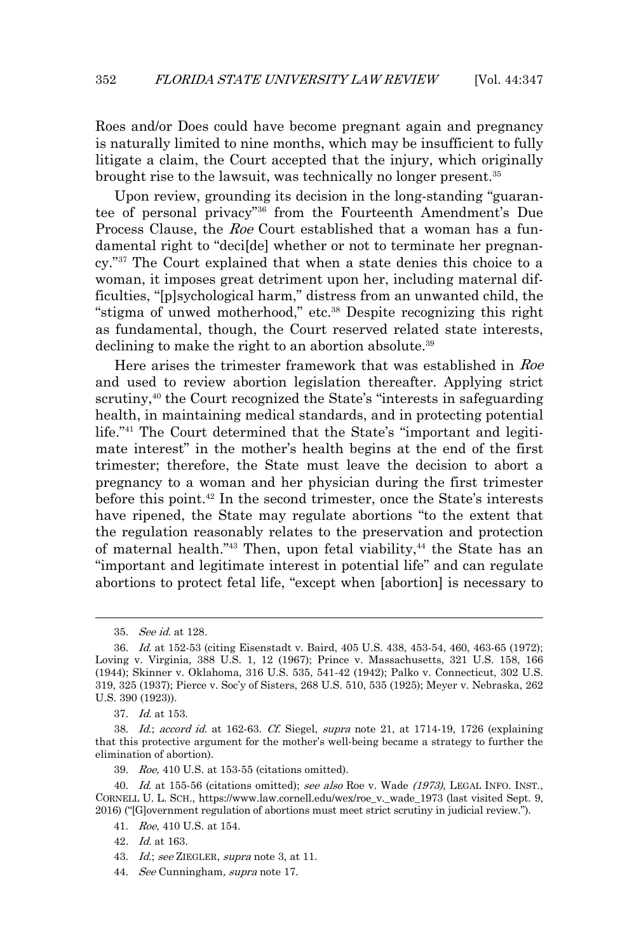Roes and/or Does could have become pregnant again and pregnancy is naturally limited to nine months, which may be insufficient to fully litigate a claim, the Court accepted that the injury, which originally brought rise to the lawsuit, was technically no longer present.35

Upon review, grounding its decision in the long-standing "guarantee of personal privacy"36 from the Fourteenth Amendment's Due Process Clause, the Roe Court established that a woman has a fundamental right to "deci[de] whether or not to terminate her pregnancy."37 The Court explained that when a state denies this choice to a woman, it imposes great detriment upon her, including maternal difficulties, "[p]sychological harm," distress from an unwanted child, the "stigma of unwed motherhood," etc.38 Despite recognizing this right as fundamental, though, the Court reserved related state interests, declining to make the right to an abortion absolute.<sup>39</sup>

Here arises the trimester framework that was established in Roe and used to review abortion legislation thereafter. Applying strict scrutiny,<sup>40</sup> the Court recognized the State's "interests in safeguarding" health, in maintaining medical standards, and in protecting potential life."41 The Court determined that the State's "important and legitimate interest" in the mother's health begins at the end of the first trimester; therefore, the State must leave the decision to abort a pregnancy to a woman and her physician during the first trimester before this point. 42 In the second trimester, once the State's interests have ripened, the State may regulate abortions "to the extent that the regulation reasonably relates to the preservation and protection of maternal health." $43$  Then, upon fetal viability, $44$  the State has an "important and legitimate interest in potential life" and can regulate abortions to protect fetal life, "except when [abortion] is necessary to

<sup>35.</sup> See id. at 128.

<sup>36.</sup> Id. at 152-53 (citing Eisenstadt v. Baird, 405 U.S. 438, 453-54, 460, 463-65 (1972); Loving v. Virginia, 388 U.S. 1, 12 (1967); Prince v. Massachusetts, 321 U.S. 158, 166 (1944); Skinner v. Oklahoma, 316 U.S. 535, 541-42 (1942); Palko v. Connecticut, 302 U.S. 319, 325 (1937); Pierce v. Soc'y of Sisters, 268 U.S. 510, 535 (1925); Meyer v. Nebraska, 262 U.S. 390 (1923)).

<sup>37.</sup> Id. at 153.

<sup>38.</sup> Id.; accord id. at 162-63. Cf. Siegel, supra note 21, at 1714-19, 1726 (explaining that this protective argument for the mother's well-being became a strategy to further the elimination of abortion).

<sup>39.</sup> Roe, 410 U.S. at 153-55 (citations omitted).

<sup>40.</sup> Id. at 155-56 (citations omitted); see also Roe v. Wade (1973), LEGAL INFO. INST., CORNELL U. L. SCH., https://www.law.cornell.edu/wex/roe\_v.\_wade\_1973 (last visited Sept. 9, 2016) ("[G]overnment regulation of abortions must meet strict scrutiny in judicial review.").

<sup>41.</sup> Roe, 410 U.S. at 154.

<sup>42</sup>. Id. at 163.

<sup>43.</sup> Id.; see ZIEGLER, supra note 3, at 11.

<sup>44.</sup> See Cunningham, supra note 17.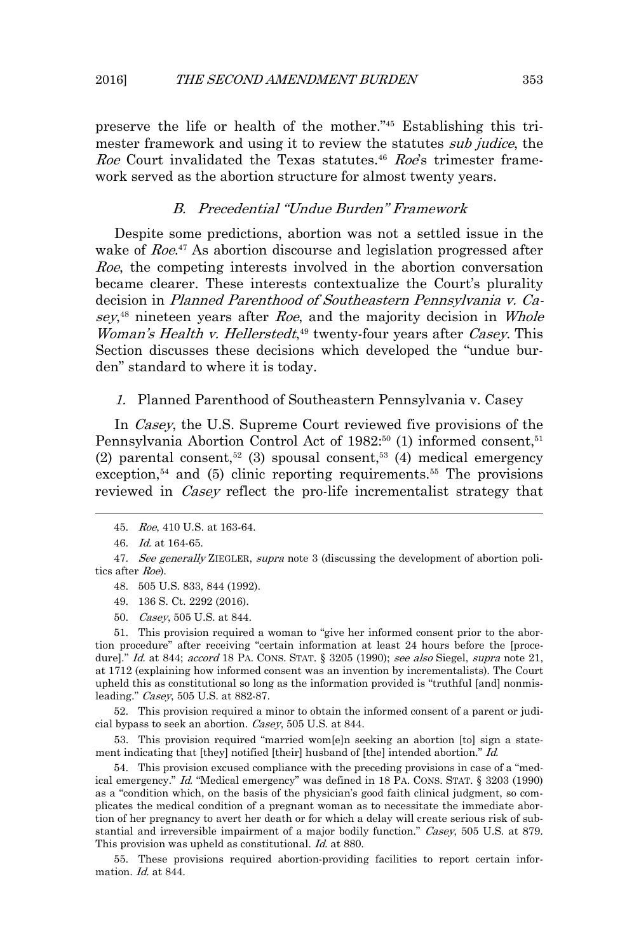preserve the life or health of the mother."45 Establishing this trimester framework and using it to review the statutes *sub judice*, the Roe Court invalidated the Texas statutes.<sup>46</sup> Roe's trimester framework served as the abortion structure for almost twenty years.

#### B. Precedential "Undue Burden" Framework

Despite some predictions, abortion was not a settled issue in the wake of Roe.<sup>47</sup> As abortion discourse and legislation progressed after Roe, the competing interests involved in the abortion conversation became clearer. These interests contextualize the Court's plurality decision in Planned Parenthood of Southeastern Pennsylvania v. Casey,<sup>48</sup> nineteen years after Roe, and the majority decision in Whole Woman's Health v. Hellerstedt,<sup>49</sup> twenty-four years after Casey. This Section discusses these decisions which developed the "undue burden" standard to where it is today.

#### 1. Planned Parenthood of Southeastern Pennsylvania v. Casey

In *Casey*, the U.S. Supreme Court reviewed five provisions of the Pennsylvania Abortion Control Act of 1982<sup>;50</sup> (1) informed consent,<sup>51</sup> (2) parental consent,<sup>52</sup> (3) spousal consent,<sup>53</sup> (4) medical emergency exception,<sup>54</sup> and (5) clinic reporting requirements.<sup>55</sup> The provisions reviewed in *Casey* reflect the pro-life incrementalist strategy that

 $\overline{a}$ 

51. This provision required a woman to "give her informed consent prior to the abortion procedure" after receiving "certain information at least 24 hours before the [procedure]." Id. at 844; accord 18 PA. CONS. STAT. § 3205 (1990); see also Siegel, supra note 21, at 1712 (explaining how informed consent was an invention by incrementalists). The Court upheld this as constitutional so long as the information provided is "truthful [and] nonmisleading." *Casey*, 505 U.S. at 882-87.

52. This provision required a minor to obtain the informed consent of a parent or judicial bypass to seek an abortion. Casey, 505 U.S. at 844.

53. This provision required "married wom[e]n seeking an abortion [to] sign a statement indicating that [they] notified [their] husband of [the] intended abortion." Id.

54. This provision excused compliance with the preceding provisions in case of a "medical emergency." Id. "Medical emergency" was defined in 18 PA. CONS. STAT. § 3203 (1990) as a "condition which, on the basis of the physician's good faith clinical judgment, so complicates the medical condition of a pregnant woman as to necessitate the immediate abortion of her pregnancy to avert her death or for which a delay will create serious risk of substantial and irreversible impairment of a major bodily function." Casey, 505 U.S. at 879. This provision was upheld as constitutional. *Id.* at 880.

55. These provisions required abortion-providing facilities to report certain information. *Id.* at 844.

<sup>45.</sup> Roe, 410 U.S. at 163-64.

<sup>46.</sup> Id. at 164-65.

<sup>47.</sup> See generally ZIEGLER, supra note 3 (discussing the development of abortion politics after Roe).

<sup>48. 505</sup> U.S. 833, 844 (1992).

<sup>49. 136</sup> S. Ct. 2292 (2016).

<sup>50.</sup> Casey, 505 U.S. at 844.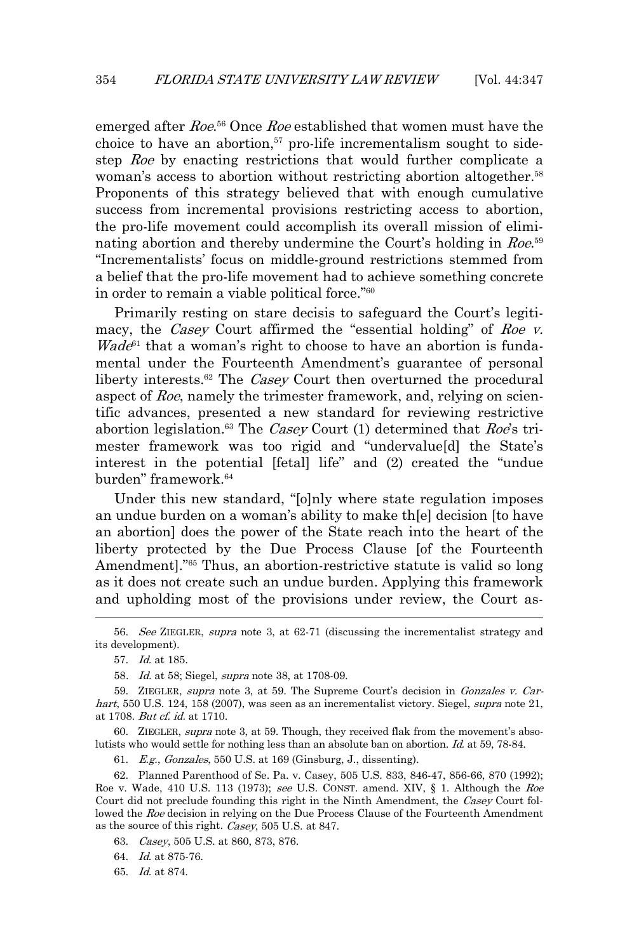emerged after *Roe*.<sup>56</sup> Once *Roe* established that women must have the choice to have an abortion, <sup>57</sup> pro-life incrementalism sought to sidestep Roe by enacting restrictions that would further complicate a woman's access to abortion without restricting abortion altogether. 58 Proponents of this strategy believed that with enough cumulative success from incremental provisions restricting access to abortion, the pro-life movement could accomplish its overall mission of eliminating abortion and thereby undermine the Court's holding in Roe.<sup>59</sup> "Incrementalists' focus on middle-ground restrictions stemmed from a belief that the pro-life movement had to achieve something concrete in order to remain a viable political force."60

Primarily resting on stare decisis to safeguard the Court's legitimacy, the *Casey* Court affirmed the "essential holding" of Roe v.  $W \in W \in W$  that a woman's right to choose to have an abortion is fundamental under the Fourteenth Amendment's guarantee of personal liberty interests. $62$  The *Casey* Court then overturned the procedural aspect of Roe, namely the trimester framework, and, relying on scientific advances, presented a new standard for reviewing restrictive abortion legislation.<sup>63</sup> The *Casey* Court (1) determined that *Roe's* trimester framework was too rigid and "undervalue[d] the State's interest in the potential [fetal] life" and (2) created the "undue burden" framework.64

Under this new standard, "[o]nly where state regulation imposes an undue burden on a woman's ability to make th[e] decision [to have an abortion] does the power of the State reach into the heart of the liberty protected by the Due Process Clause [of the Fourteenth Amendment]."65 Thus, an abortion-restrictive statute is valid so long as it does not create such an undue burden. Applying this framework and upholding most of the provisions under review, the Court as-

 $\overline{a}$ 

60. ZIEGLER, supra note 3, at 59. Though, they received flak from the movement's absolutists who would settle for nothing less than an absolute ban on abortion. Id. at 59, 78-84.

61. E.g., Gonzales, 550 U.S. at 169 (Ginsburg, J., dissenting).

62. Planned Parenthood of Se. Pa. v. Casey, 505 U.S. 833, 846-47, 856-66, 870 (1992); Roe v. Wade, 410 U.S. 113 (1973); see U.S. CONST. amend. XIV, § 1. Although the Roe Court did not preclude founding this right in the Ninth Amendment, the Casey Court followed the Roe decision in relying on the Due Process Clause of the Fourteenth Amendment as the source of this right. Casey, 505 U.S. at 847.

63. Casey, 505 U.S. at 860, 873, 876.

64. Id. at 875-76.

65. Id. at 874.

<sup>56.</sup> See ZIEGLER, supra note 3, at 62-71 (discussing the incrementalist strategy and its development).

<sup>57.</sup> Id. at 185.

<sup>58</sup>. Id. at 58; Siegel, supra note 38, at 1708-09.

<sup>59.</sup> ZIEGLER, supra note 3, at 59. The Supreme Court's decision in Gonzales v. Carhart, 550 U.S. 124, 158 (2007), was seen as an incrementalist victory. Siegel, supra note 21, at 1708. But cf. id. at 1710.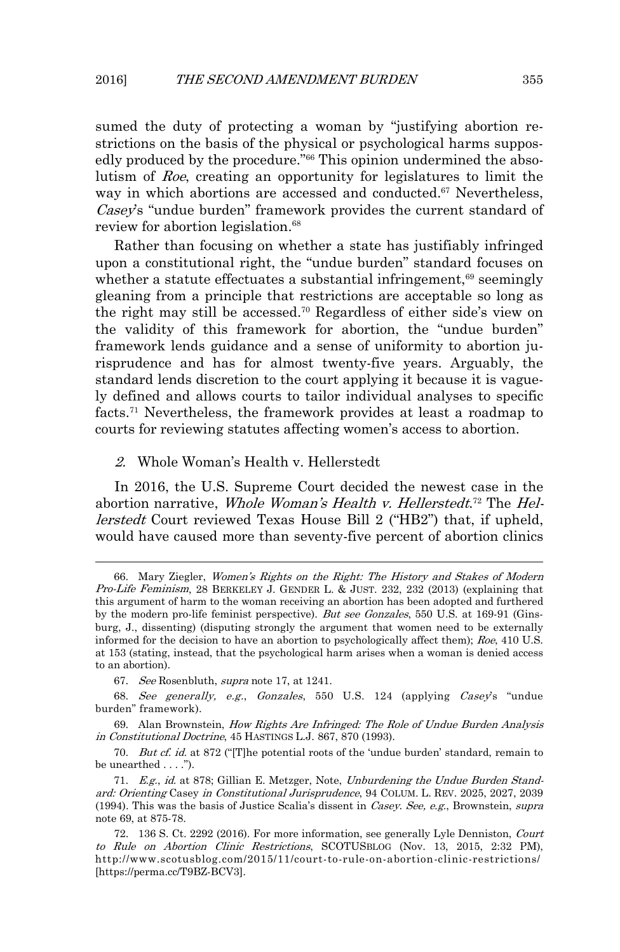sumed the duty of protecting a woman by "justifying abortion restrictions on the basis of the physical or psychological harms supposedly produced by the procedure."66 This opinion undermined the absolutism of Roe, creating an opportunity for legislatures to limit the way in which abortions are accessed and conducted. $67$  Nevertheless, Casey's "undue burden" framework provides the current standard of review for abortion legislation.<sup>68</sup>

Rather than focusing on whether a state has justifiably infringed upon a constitutional right, the "undue burden" standard focuses on whether a statute effectuates a substantial infringement,<sup>69</sup> seemingly gleaning from a principle that restrictions are acceptable so long as the right may still be accessed.70 Regardless of either side's view on the validity of this framework for abortion, the "undue burden" framework lends guidance and a sense of uniformity to abortion jurisprudence and has for almost twenty-five years. Arguably, the standard lends discretion to the court applying it because it is vaguely defined and allows courts to tailor individual analyses to specific facts. <sup>71</sup> Nevertheless, the framework provides at least a roadmap to courts for reviewing statutes affecting women's access to abortion.

#### 2. Whole Woman's Health v. Hellerstedt

In 2016, the U.S. Supreme Court decided the newest case in the abortion narrative, Whole Woman's Health v. Hellerstedt.<sup>72</sup> The Hellerstedt Court reviewed Texas House Bill 2 ("HB2") that, if upheld, would have caused more than seventy-five percent of abortion clinics

<sup>66.</sup> Mary Ziegler, Women's Rights on the Right: The History and Stakes of Modern Pro-Life Feminism, 28 BERKELEY J. GENDER L. & JUST. 232, 232 (2013) (explaining that this argument of harm to the woman receiving an abortion has been adopted and furthered by the modern pro-life feminist perspective). But see Gonzales, 550 U.S. at 169-91 (Ginsburg, J., dissenting) (disputing strongly the argument that women need to be externally informed for the decision to have an abortion to psychologically affect them); Roe, 410 U.S. at 153 (stating, instead, that the psychological harm arises when a woman is denied access to an abortion).

<sup>67.</sup> See Rosenbluth, supra note 17, at 1241.

<sup>68.</sup> See generally, e.g., Gonzales, 550 U.S. 124 (applying Casey's "undue burden" framework).

<sup>69.</sup> Alan Brownstein, How Rights Are Infringed: The Role of Undue Burden Analysis in Constitutional Doctrine, 45 HASTINGS L.J. 867, 870 (1993).

<sup>70.</sup> But cf. id. at 872 ("[T]he potential roots of the 'undue burden' standard, remain to be unearthed . . . .").

<sup>71.</sup> E.g., id. at 878; Gillian E. Metzger, Note, Unburdening the Undue Burden Standard: Orienting Casey in Constitutional Jurisprudence, 94 COLUM. L. REV. 2025, 2027, 2039 (1994). This was the basis of Justice Scalia's dissent in Casey. See, e.g., Brownstein, supra note 69, at 875-78.

<sup>72. 136</sup> S. Ct. 2292 (2016). For more information, see generally Lyle Denniston, Court to Rule on Abortion Clinic Restrictions, SCOTUSBLOG (Nov. 13, 2015, 2:32 PM), http://www.scotusblog.com/2015/11/court-to-rule-on-abortion-clinic-restrictions/ [https://perma.cc/T9BZ-BCV3].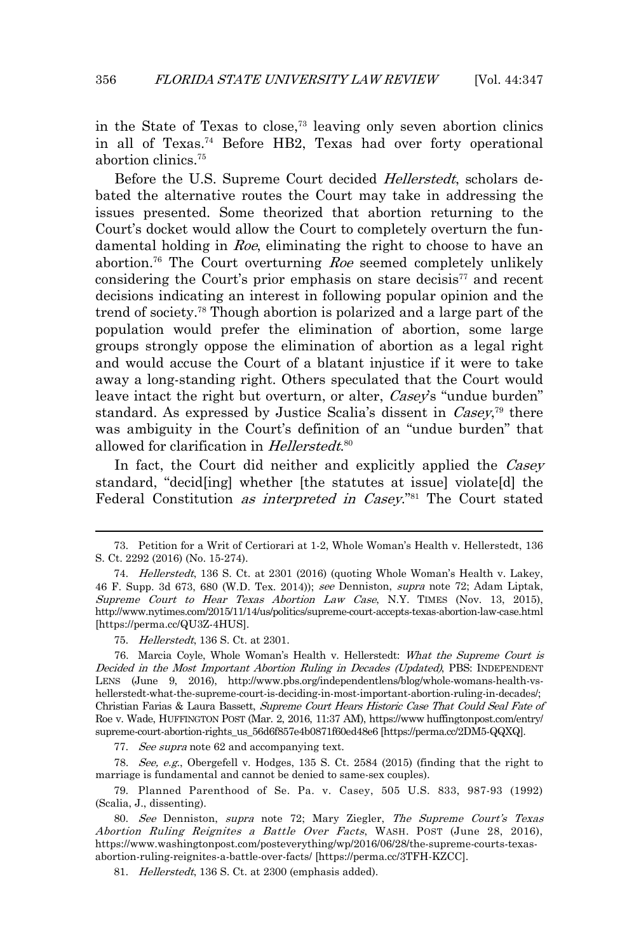in the State of Texas to close,73 leaving only seven abortion clinics in all of Texas.74 Before HB2, Texas had over forty operational abortion clinics.75

Before the U.S. Supreme Court decided *Hellerstedt*, scholars debated the alternative routes the Court may take in addressing the issues presented. Some theorized that abortion returning to the Court's docket would allow the Court to completely overturn the fundamental holding in Roe, eliminating the right to choose to have an abortion.<sup>76</sup> The Court overturning  $Roe$  seemed completely unlikely considering the Court's prior emphasis on stare decisis<sup>77</sup> and recent decisions indicating an interest in following popular opinion and the trend of society.78 Though abortion is polarized and a large part of the population would prefer the elimination of abortion, some large groups strongly oppose the elimination of abortion as a legal right and would accuse the Court of a blatant injustice if it were to take away a long-standing right. Others speculated that the Court would leave intact the right but overturn, or alter, Casey's "undue burden" standard. As expressed by Justice Scalia's dissent in Casey,<sup>79</sup> there was ambiguity in the Court's definition of an "undue burden" that allowed for clarification in Hellerstedt.<sup>80</sup>

In fact, the Court did neither and explicitly applied the Casey standard, "decid[ing] whether [the statutes at issue] violate[d] the Federal Constitution as interpreted in Casey."<sup>81</sup> The Court stated

 $\overline{a}$ 

77. See supra note 62 and accompanying text.

78. See, e.g., Obergefell v. Hodges, 135 S. Ct. 2584 (2015) (finding that the right to marriage is fundamental and cannot be denied to same-sex couples).

79. Planned Parenthood of Se. Pa. v. Casey, 505 U.S. 833, 987-93 (1992) (Scalia, J., dissenting).

<sup>73.</sup> Petition for a Writ of Certiorari at 1-2, Whole Woman's Health v. Hellerstedt, 136 S. Ct. 2292 (2016) (No. 15-274).

<sup>74.</sup> Hellerstedt, 136 S. Ct. at 2301 (2016) (quoting Whole Woman's Health v. Lakey, 46 F. Supp. 3d 673, 680 (W.D. Tex. 2014)); see Denniston, supra note 72; Adam Liptak, Supreme Court to Hear Texas Abortion Law Case, N.Y. TIMES (Nov. 13, 2015), http://www.nytimes.com/2015/11/14/us/politics/supreme-court-accepts-texas-abortion-law-case.html [https://perma.cc/QU3Z-4HUS].

<sup>75.</sup> Hellerstedt, 136 S. Ct. at 2301.

<sup>76.</sup> Marcia Coyle, Whole Woman's Health v. Hellerstedt: What the Supreme Court is Decided in the Most Important Abortion Ruling in Decades (Updated), PBS: INDEPENDENT LENS (June 9, 2016), http://www.pbs.org/independentlens/blog/whole-womans-health-vshellerstedt-what-the-supreme-court-is-deciding-in-most-important-abortion-ruling-in-decades/; Christian Farias & Laura Bassett, Supreme Court Hears Historic Case That Could Seal Fate of Roe v. Wade, HUFFINGTON POST (Mar. 2, 2016, 11:37 AM), https://www huffingtonpost.com/entry/ supreme-court-abortion-rights\_us\_56d6f857e4b0871f60ed48e6 [https://perma.cc/2DM5-QQXQ].

<sup>80.</sup> See Denniston, supra note 72; Mary Ziegler, The Supreme Court's Texas Abortion Ruling Reignites a Battle Over Facts, WASH. POST (June 28, 2016), https://www.washingtonpost.com/posteverything/wp/2016/06/28/the-supreme-courts-texasabortion-ruling-reignites-a-battle-over-facts/ [https://perma.cc/3TFH-KZCC].

<sup>81.</sup> Hellerstedt, 136 S. Ct. at 2300 (emphasis added).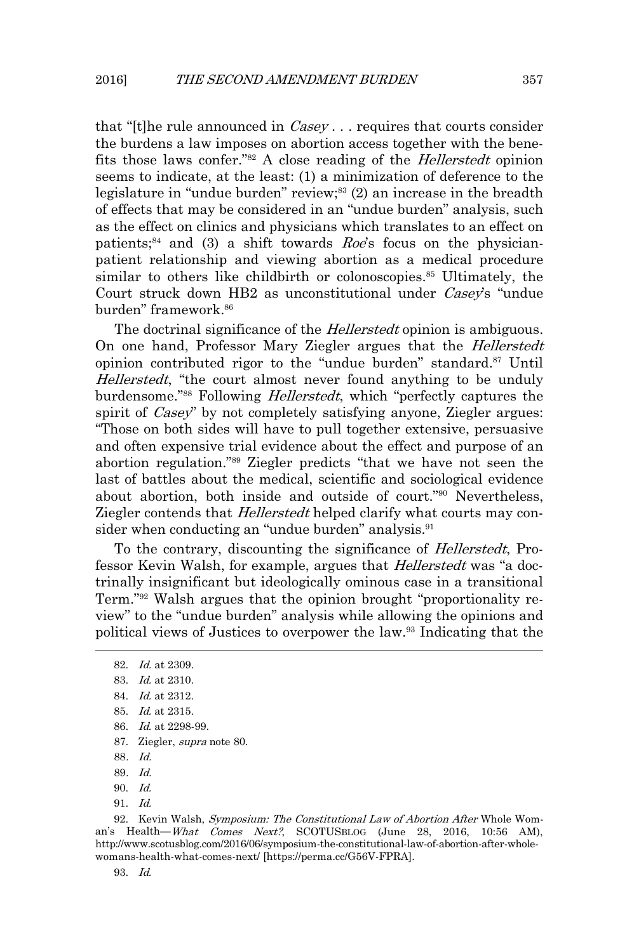that "[t]he rule announced in  $\mathit{Casey}$ ... requires that courts consider the burdens a law imposes on abortion access together with the benefits those laws confer.<sup>"82</sup> A close reading of the *Hellerstedt* opinion seems to indicate, at the least: (1) a minimization of deference to the legislature in "undue burden" review; $^{83}$  (2) an increase in the breadth of effects that may be considered in an "undue burden" analysis, such as the effect on clinics and physicians which translates to an effect on patients; $84$  and (3) a shift towards  $Roe's$  focus on the physicianpatient relationship and viewing abortion as a medical procedure similar to others like childbirth or colonoscopies.<sup>85</sup> Ultimately, the Court struck down HB2 as unconstitutional under *Casey's* "undue burden" framework. 86

The doctrinal significance of the *Hellerstedt* opinion is ambiguous. On one hand, Professor Mary Ziegler argues that the *Hellerstedt* opinion contributed rigor to the "undue burden" standard.<sup>87</sup> Until Hellerstedt, "the court almost never found anything to be unduly burdensome."<sup>88</sup> Following *Hellerstedt*, which "perfectly captures the spirit of *Casey*" by not completely satisfying anyone, Ziegler argues: "Those on both sides will have to pull together extensive, persuasive and often expensive trial evidence about the effect and purpose of an abortion regulation."89 Ziegler predicts "that we have not seen the last of battles about the medical, scientific and sociological evidence about abortion, both inside and outside of court."90 Nevertheless, Ziegler contends that *Hellerstedt* helped clarify what courts may consider when conducting an "undue burden" analysis.<sup>91</sup>

To the contrary, discounting the significance of Hellerstedt, Professor Kevin Walsh, for example, argues that *Hellerstedt* was "a doctrinally insignificant but ideologically ominous case in a transitional Term."92 Walsh argues that the opinion brought "proportionality review" to the "undue burden" analysis while allowing the opinions and political views of Justices to overpower the law.93 Indicating that the

87. Ziegler, supra note 80.

88. Id.

 $\overline{a}$ 

89. Id.

- 90. Id.
- 91. Id.

92. Kevin Walsh, Symposium: The Constitutional Law of Abortion After Whole Woman's Health—What Comes Next?, SCOTUSBLOG (June 28, 2016, 10:56 AM), http://www.scotusblog.com/2016/06/symposium-the-constitutional-law-of-abortion-after-wholewomans-health-what-comes-next/ [https://perma.cc/G56V-FPRA].

93. Id.

<sup>82.</sup> Id. at 2309.

<sup>83.</sup> Id. at 2310.

<sup>84.</sup> Id. at 2312.

<sup>85.</sup> Id. at 2315.

<sup>86.</sup> Id. at 2298-99.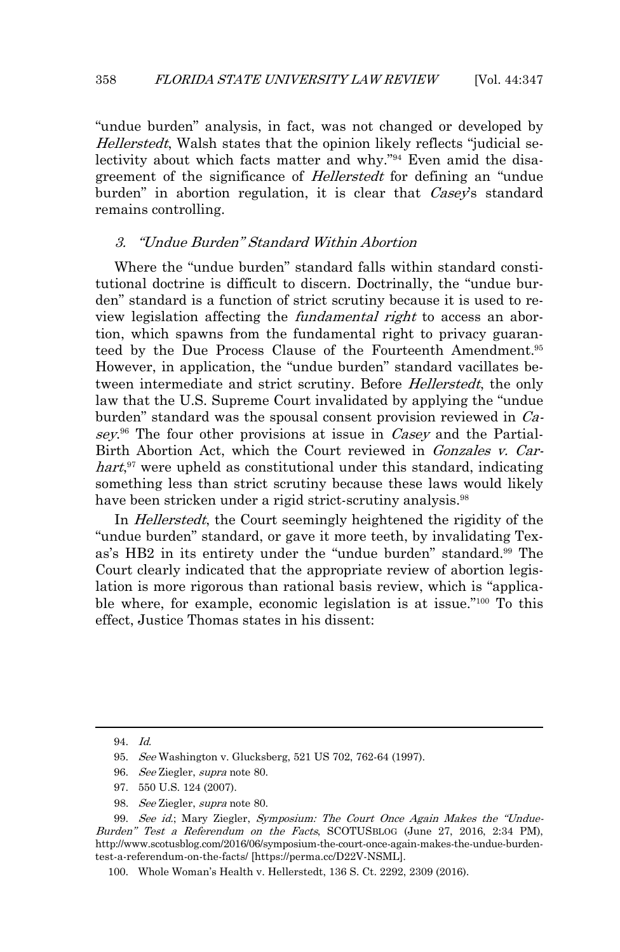"undue burden" analysis, in fact, was not changed or developed by Hellerstedt, Walsh states that the opinion likely reflects "judicial selectivity about which facts matter and why."94 Even amid the disagreement of the significance of *Hellerstedt* for defining an "undue" burden" in abortion regulation, it is clear that *Casey*'s standard remains controlling.

#### 3. "Undue Burden" Standard Within Abortion

Where the "undue burden" standard falls within standard constitutional doctrine is difficult to discern. Doctrinally, the "undue burden" standard is a function of strict scrutiny because it is used to review legislation affecting the fundamental right to access an abortion, which spawns from the fundamental right to privacy guaranteed by the Due Process Clause of the Fourteenth Amendment. 95 However, in application, the "undue burden" standard vacillates between intermediate and strict scrutiny. Before *Hellerstedt*, the only law that the U.S. Supreme Court invalidated by applying the "undue burden" standard was the spousal consent provision reviewed in Casey.<sup>96</sup> The four other provisions at issue in *Casey* and the Partial-Birth Abortion Act, which the Court reviewed in Gonzales v. Carhart,<sup>97</sup> were upheld as constitutional under this standard, indicating something less than strict scrutiny because these laws would likely have been stricken under a rigid strict-scrutiny analysis.<sup>98</sup>

In *Hellerstedt*, the Court seemingly heightened the rigidity of the "undue burden" standard, or gave it more teeth, by invalidating Texas's HB2 in its entirety under the "undue burden" standard.<sup>99</sup> The Court clearly indicated that the appropriate review of abortion legislation is more rigorous than rational basis review, which is "applicable where, for example, economic legislation is at issue."100 To this effect, Justice Thomas states in his dissent:

 $\overline{a}$ 

98. See Ziegler, supra note 80.

<sup>94.</sup> Id.

<sup>95.</sup> See Washington v. Glucksberg, 521 US 702, 762-64 (1997).

<sup>96.</sup> See Ziegler, supra note 80.

<sup>97. 550</sup> U.S. 124 (2007).

<sup>99.</sup> See id.; Mary Ziegler, Symposium: The Court Once Again Makes the "Undue-Burden" Test a Referendum on the Facts, SCOTUSBLOG (June 27, 2016, 2:34 PM), http://www.scotusblog.com/2016/06/symposium-the-court-once-again-makes-the-undue-burdentest-a-referendum-on-the-facts/ [https://perma.cc/D22V-NSML].

<sup>100.</sup> Whole Woman's Health v. Hellerstedt, 136 S. Ct. 2292, 2309 (2016).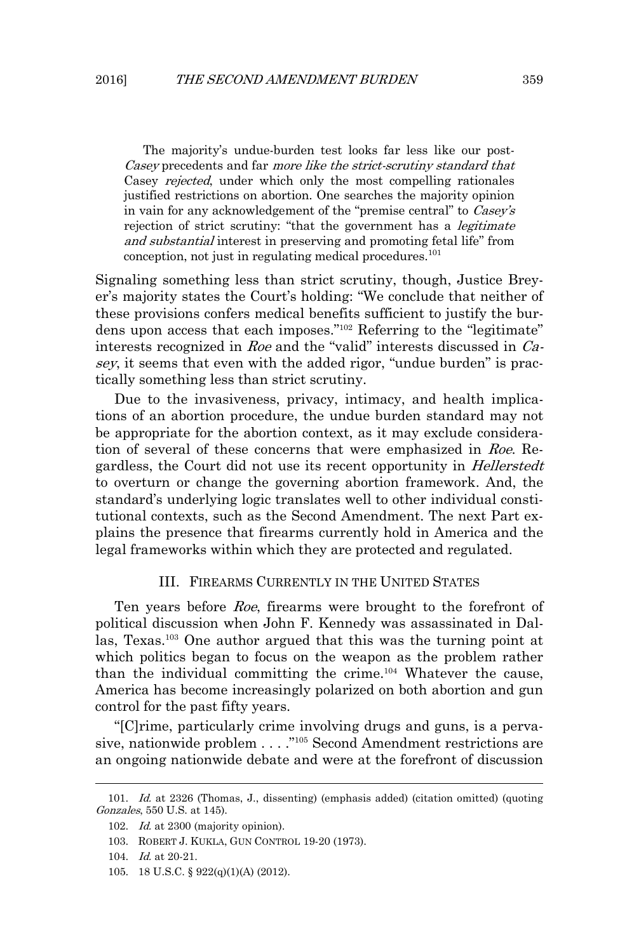The majority's undue-burden test looks far less like our post-Casey precedents and far more like the strict-scrutiny standard that Casey *rejected*, under which only the most compelling rationales justified restrictions on abortion. One searches the majority opinion in vain for any acknowledgement of the "premise central" to Casey's rejection of strict scrutiny: "that the government has a *legitimate* and substantial interest in preserving and promoting fetal life" from conception, not just in regulating medical procedures. $101$ 

Signaling something less than strict scrutiny, though, Justice Breyer's majority states the Court's holding: "We conclude that neither of these provisions confers medical benefits sufficient to justify the burdens upon access that each imposes."102 Referring to the "legitimate" interests recognized in Roe and the "valid" interests discussed in Casey, it seems that even with the added rigor, "undue burden" is practically something less than strict scrutiny.

Due to the invasiveness, privacy, intimacy, and health implications of an abortion procedure, the undue burden standard may not be appropriate for the abortion context, as it may exclude consideration of several of these concerns that were emphasized in Roe. Regardless, the Court did not use its recent opportunity in *Hellerstedt* to overturn or change the governing abortion framework. And, the standard's underlying logic translates well to other individual constitutional contexts, such as the Second Amendment. The next Part explains the presence that firearms currently hold in America and the legal frameworks within which they are protected and regulated.

#### III. FIREARMS CURRENTLY IN THE UNITED STATES

Ten years before Roe, firearms were brought to the forefront of political discussion when John F. Kennedy was assassinated in Dallas, Texas.103 One author argued that this was the turning point at which politics began to focus on the weapon as the problem rather than the individual committing the crime.104 Whatever the cause, America has become increasingly polarized on both abortion and gun control for the past fifty years.

 "[C]rime, particularly crime involving drugs and guns, is a pervasive, nationwide problem . . . ."105 Second Amendment restrictions are an ongoing nationwide debate and were at the forefront of discussion

<sup>101.</sup> Id. at 2326 (Thomas, J., dissenting) (emphasis added) (citation omitted) (quoting Gonzales, 550 U.S. at 145).

<sup>102.</sup> Id. at 2300 (majority opinion).

<sup>103.</sup> ROBERT J. KUKLA, GUN CONTROL 19-20 (1973).

<sup>104.</sup> Id. at 20-21.

<sup>105. 18</sup> U.S.C. § 922(q)(1)(A) (2012).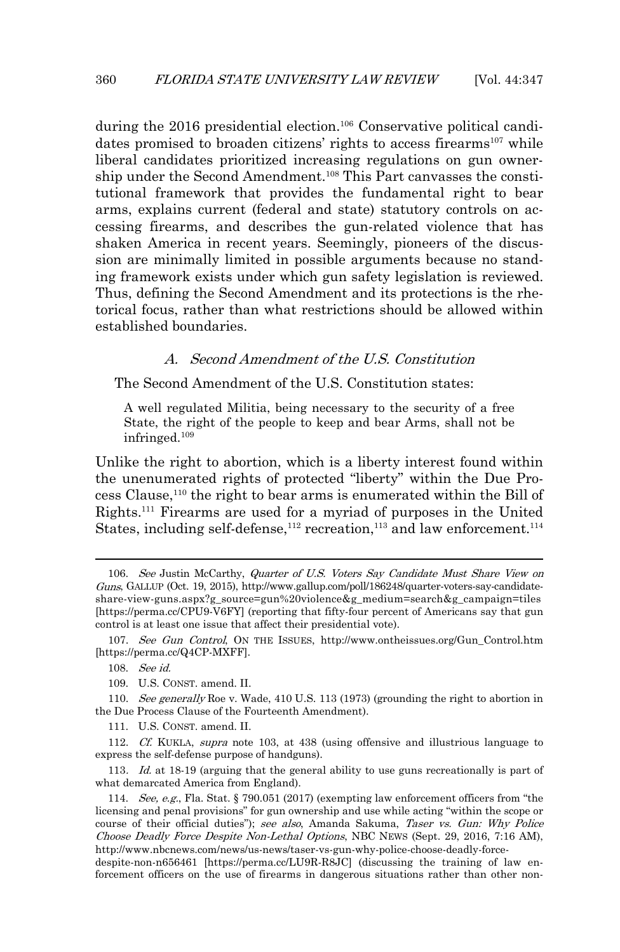during the 2016 presidential election. <sup>106</sup> Conservative political candidates promised to broaden citizens' rights to access firearms<sup>107</sup> while liberal candidates prioritized increasing regulations on gun ownership under the Second Amendment.108 This Part canvasses the constitutional framework that provides the fundamental right to bear arms, explains current (federal and state) statutory controls on accessing firearms, and describes the gun-related violence that has shaken America in recent years. Seemingly, pioneers of the discussion are minimally limited in possible arguments because no standing framework exists under which gun safety legislation is reviewed. Thus, defining the Second Amendment and its protections is the rhetorical focus, rather than what restrictions should be allowed within established boundaries.

#### A. Second Amendment of the U.S. Constitution

The Second Amendment of the U.S. Constitution states:

A well regulated Militia, being necessary to the security of a free State, the right of the people to keep and bear Arms, shall not be infringed.109

Unlike the right to abortion, which is a liberty interest found within the unenumerated rights of protected "liberty" within the Due Process Clause, <sup>110</sup> the right to bear arms is enumerated within the Bill of Rights. <sup>111</sup> Firearms are used for a myriad of purposes in the United States, including self-defense,  $^{112}$  recreation,  $^{113}$  and law enforcement.  $^{114}$ 

<sup>106.</sup> See Justin McCarthy, Quarter of U.S. Voters Say Candidate Must Share View on Guns, GALLUP (Oct. 19, 2015), http://www.gallup.com/poll/186248/quarter-voters-say-candidateshare-view-guns.aspx?g\_source=gun%20violence&g\_medium=search&g\_campaign=tiles [https://perma.cc/CPU9-V6FY] (reporting that fifty-four percent of Americans say that gun control is at least one issue that affect their presidential vote).

<sup>107.</sup> See Gun Control, ON THE ISSUES, http://www.ontheissues.org/Gun\_Control.htm [https://perma.cc/Q4CP-MXFF].

<sup>108.</sup> See id.

<sup>109.</sup> U.S. CONST. amend. II.

<sup>110.</sup> See generally Roe v. Wade, 410 U.S. 113 (1973) (grounding the right to abortion in the Due Process Clause of the Fourteenth Amendment).

<sup>111.</sup> U.S. CONST. amend. II.

<sup>112.</sup> Cf. KUKLA, supra note 103, at 438 (using offensive and illustrious language to express the self-defense purpose of handguns).

<sup>113.</sup> Id. at 18-19 (arguing that the general ability to use guns recreationally is part of what demarcated America from England).

<sup>114.</sup> See, e.g., Fla. Stat. § 790.051 (2017) (exempting law enforcement officers from "the licensing and penal provisions" for gun ownership and use while acting "within the scope or course of their official duties"); see also, Amanda Sakuma, Taser vs. Gun: Why Police Choose Deadly Force Despite Non-Lethal Options, NBC NEWS (Sept. 29, 2016, 7:16 AM), http://www.nbcnews.com/news/us-news/taser-vs-gun-why-police-choose-deadly-force-

despite-non-n656461 [https://perma.cc/LU9R-R8JC] (discussing the training of law enforcement officers on the use of firearms in dangerous situations rather than other non-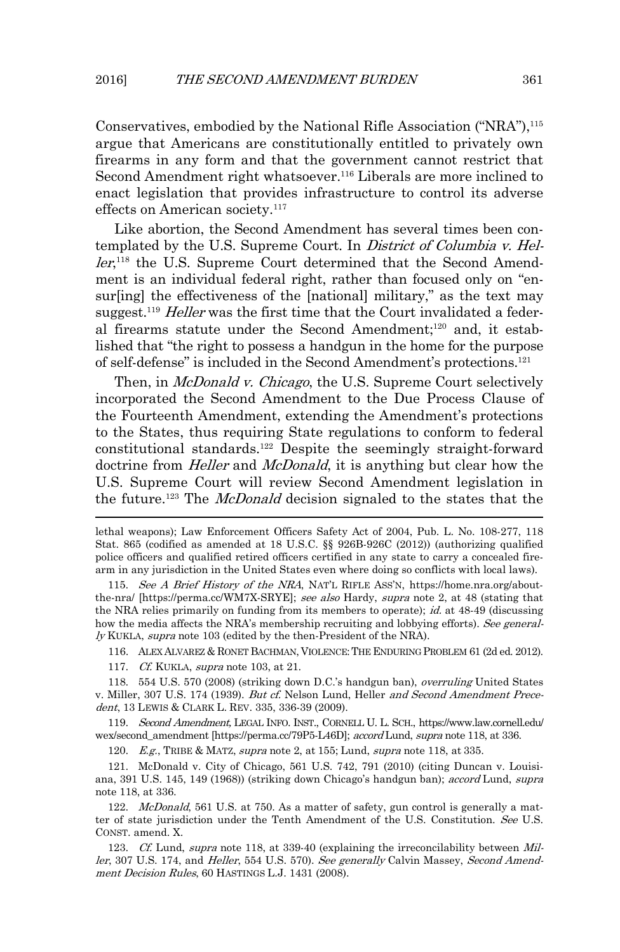Conservatives, embodied by the National Rifle Association ("NRA"),115 argue that Americans are constitutionally entitled to privately own firearms in any form and that the government cannot restrict that Second Amendment right whatsoever.<sup>116</sup> Liberals are more inclined to enact legislation that provides infrastructure to control its adverse effects on American society.<sup>117</sup>

Like abortion, the Second Amendment has several times been contemplated by the U.S. Supreme Court. In *District of Columbia v. Hel*ler,<sup>118</sup> the U.S. Supreme Court determined that the Second Amendment is an individual federal right, rather than focused only on "ensur[ing] the effectiveness of the [national] military," as the text may suggest.<sup>119</sup> Heller was the first time that the Court invalidated a federal firearms statute under the Second Amendment;120 and, it established that "the right to possess a handgun in the home for the purpose of self-defense" is included in the Second Amendment's protections. 121

Then, in McDonald v. Chicago, the U.S. Supreme Court selectively incorporated the Second Amendment to the Due Process Clause of the Fourteenth Amendment, extending the Amendment's protections to the States, thus requiring State regulations to conform to federal constitutional standards. <sup>122</sup> Despite the seemingly straight-forward doctrine from *Heller* and *McDonald*, it is anything but clear how the U.S. Supreme Court will review Second Amendment legislation in the future.<sup>123</sup> The *McDonald* decision signaled to the states that the

115. See A Brief History of the NRA, NAT'L RIFLE ASS'N, https://home.nra.org/aboutthe-nra/ [https://perma.cc/WM7X-SRYE]; see also Hardy, supra note 2, at 48 (stating that the NRA relies primarily on funding from its members to operate); id. at 48-49 (discussing how the media affects the NRA's membership recruiting and lobbying efforts). See generally KUKLA, supra note 103 (edited by the then-President of the NRA).

116. ALEX ALVAREZ & RONET BACHMAN, VIOLENCE:THE ENDURING PROBLEM 61 (2d ed. 2012).

117. Cf. KUKLA, supra note 103, at 21.

118. 554 U.S. 570 (2008) (striking down D.C.'s handgun ban), overruling United States v. Miller, 307 U.S. 174 (1939). But cf. Nelson Lund, Heller and Second Amendment Precedent, 13 LEWIS & CLARK L. REV. 335, 336-39 (2009).

119. Second Amendment, LEGAL INFO. INST., CORNELL U. L. SCH., https://www.law.cornell.edu/ wex/second\_amendment [https://perma.cc/79P5-L46D]; accord Lund, supra note 118, at 336.

120. E.g., TRIBE & MATZ, supra note 2, at 155; Lund, supra note 118, at 335.

121. McDonald v. City of Chicago, 561 U.S. 742, 791 (2010) (citing Duncan v. Louisiana, 391 U.S. 145, 149 (1968)) (striking down Chicago's handgun ban); accord Lund, supra note 118, at 336.

122. McDonald, 561 U.S. at 750. As a matter of safety, gun control is generally a matter of state jurisdiction under the Tenth Amendment of the U.S. Constitution. See U.S. CONST. amend. X.

123. Cf. Lund, supra note 118, at 339-40 (explaining the irreconcilability between Miller, 307 U.S. 174, and Heller, 554 U.S. 570). See generally Calvin Massey, Second Amendment Decision Rules, 60 HASTINGS L.J. 1431 (2008).

lethal weapons); Law Enforcement Officers Safety Act of 2004, Pub. L. No. 108-277, 118 Stat. 865 (codified as amended at 18 U.S.C. §§ 926B-926C (2012)) (authorizing qualified police officers and qualified retired officers certified in any state to carry a concealed firearm in any jurisdiction in the United States even where doing so conflicts with local laws).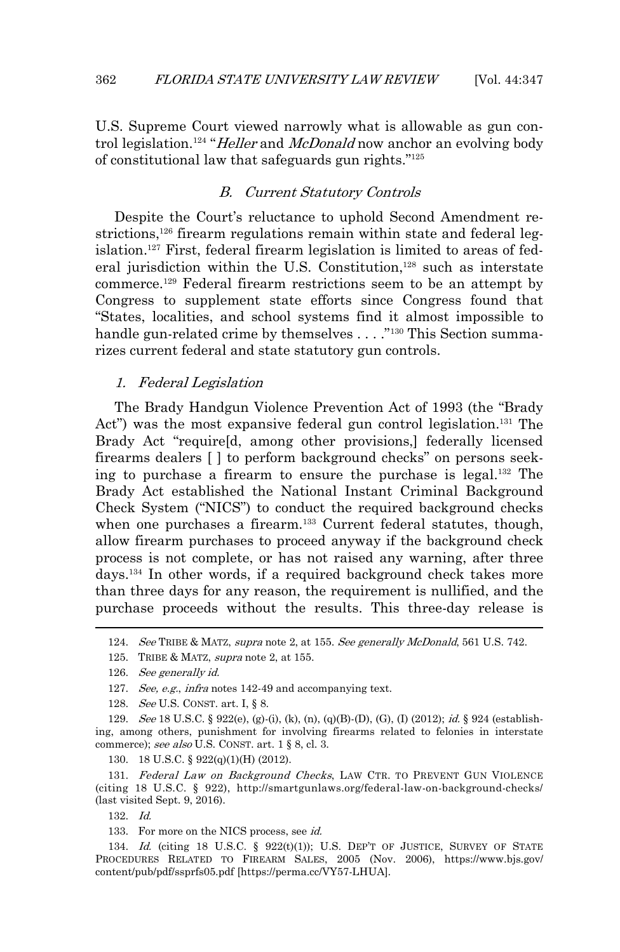U.S. Supreme Court viewed narrowly what is allowable as gun control legislation.<sup>124</sup> "Heller and McDonald now anchor an evolving body of constitutional law that safeguards gun rights."125

#### B. Current Statutory Controls

Despite the Court's reluctance to uphold Second Amendment restrictions,<sup>126</sup> firearm regulations remain within state and federal legislation.127 First, federal firearm legislation is limited to areas of federal jurisdiction within the U.S. Constitution, <sup>128</sup> such as interstate commerce.129 Federal firearm restrictions seem to be an attempt by Congress to supplement state efforts since Congress found that "States, localities, and school systems find it almost impossible to handle gun-related crime by themselves . . . . "<sup>130</sup> This Section summarizes current federal and state statutory gun controls.

#### 1. Federal Legislation

The Brady Handgun Violence Prevention Act of 1993 (the "Brady Act") was the most expansive federal gun control legislation.<sup>131</sup> The Brady Act "require[d, among other provisions,] federally licensed firearms dealers [ ] to perform background checks" on persons seeking to purchase a firearm to ensure the purchase is legal.132 The Brady Act established the National Instant Criminal Background Check System ("NICS") to conduct the required background checks when one purchases a firearm. 133 Current federal statutes, though, allow firearm purchases to proceed anyway if the background check process is not complete, or has not raised any warning, after three days.134 In other words, if a required background check takes more than three days for any reason, the requirement is nullified, and the purchase proceeds without the results. This three-day release is

132. Id.

 $\overline{a}$ 

133. For more on the NICS process, see id.

134. Id. (citing 18 U.S.C.  $\S$  922(t)(1)); U.S. DEP'T OF JUSTICE, SURVEY OF STATE PROCEDURES RELATED TO FIREARM SALES, 2005 (Nov. 2006), https://www.bjs.gov/ content/pub/pdf/ssprfs05.pdf [https://perma.cc/VY57-LHUA].

<sup>124.</sup> See TRIBE & MATZ, supra note 2, at 155. See generally McDonald, 561 U.S. 742.

<sup>125.</sup> TRIBE & MATZ, supra note 2, at 155.

<sup>126.</sup> See generally id.

<sup>127.</sup> See, e.g., infra notes 142-49 and accompanying text.

<sup>128.</sup> See U.S. CONST. art. I, § 8.

<sup>129.</sup> See 18 U.S.C. § 922(e), (g)-(i), (k), (n), (q)(B)-(D), (G), (I) (2012); id. § 924 (establishing, among others, punishment for involving firearms related to felonies in interstate commerce); see also U.S. CONST. art. 1 § 8, cl. 3.

<sup>130. 18</sup> U.S.C. § 922(q)(1)(H) (2012).

<sup>131.</sup> Federal Law on Background Checks, LAW CTR. TO PREVENT GUN VIOLENCE (citing 18 U.S.C. § 922), http://smartgunlaws.org/federal-law-on-background-checks/ (last visited Sept. 9, 2016).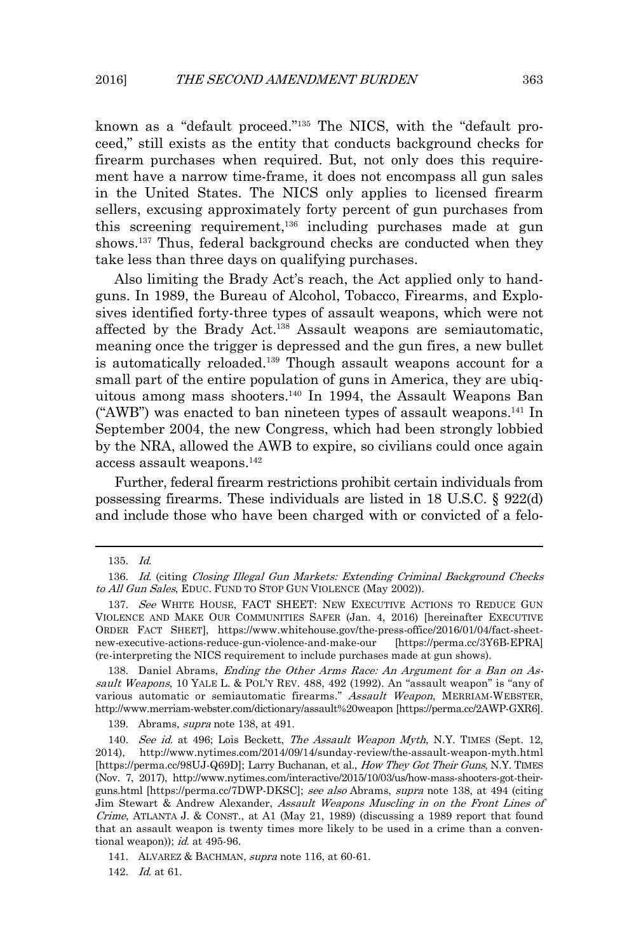known as a "default proceed."135 The NICS, with the "default proceed," still exists as the entity that conducts background checks for firearm purchases when required. But, not only does this requirement have a narrow time-frame, it does not encompass all gun sales in the United States. The NICS only applies to licensed firearm sellers, excusing approximately forty percent of gun purchases from this screening requirement, <sup>136</sup> including purchases made at gun shows. <sup>137</sup> Thus, federal background checks are conducted when they take less than three days on qualifying purchases.

Also limiting the Brady Act's reach, the Act applied only to handguns. In 1989, the Bureau of Alcohol, Tobacco, Firearms, and Explosives identified forty-three types of assault weapons, which were not affected by the Brady Act.138 Assault weapons are semiautomatic, meaning once the trigger is depressed and the gun fires, a new bullet is automatically reloaded.139 Though assault weapons account for a small part of the entire population of guns in America, they are ubiquitous among mass shooters.140 In 1994, the Assault Weapons Ban ("AWB") was enacted to ban nineteen types of assault weapons. <sup>141</sup> In September 2004, the new Congress, which had been strongly lobbied by the NRA, allowed the AWB to expire, so civilians could once again access assault weapons.142

Further, federal firearm restrictions prohibit certain individuals from possessing firearms. These individuals are listed in 18 U.S.C. § 922(d) and include those who have been charged with or convicted of a felo-

 $\overline{a}$ 

138. Daniel Abrams, Ending the Other Arms Race: An Argument for a Ban on Assault Weapons, 10 YALE L. & POL'Y REV. 488, 492 (1992). An "assault weapon" is "any of various automatic or semiautomatic firearms." Assault Weapon, MERRIAM-WEBSTER, http://www.merriam-webster.com/dictionary/assault%20weapon [https://perma.cc/2AWP-GXR6].

139. Abrams, supra note 138, at 491.

<sup>135.</sup> Id.

<sup>136.</sup> Id. (citing Closing Illegal Gun Markets: Extending Criminal Background Checks to All Gun Sales, EDUC. FUND TO STOP GUN VIOLENCE (May 2002)).

<sup>137.</sup> See WHITE HOUSE, FACT SHEET: NEW EXECUTIVE ACTIONS TO REDUCE GUN VIOLENCE AND MAKE OUR COMMUNITIES SAFER (Jan. 4, 2016) [hereinafter EXECUTIVE ORDER FACT SHEET], https://www.whitehouse.gov/the-press-office/2016/01/04/fact-sheetnew-executive-actions-reduce-gun-violence-and-make-our [https://perma.cc/3Y6B-EPRA] (re-interpreting the NICS requirement to include purchases made at gun shows).

<sup>140.</sup> See id. at 496; Lois Beckett, The Assault Weapon Myth, N.Y. TIMES (Sept. 12, 2014), http://www.nytimes.com/2014/09/14/sunday-review/the-assault-weapon-myth.html [https://perma.cc/98UJ-Q69D]; Larry Buchanan, et al., How They Got Their Guns, N.Y. TIMES (Nov. 7, 2017), http://www.nytimes.com/interactive/2015/10/03/us/how-mass-shooters-got-theirguns.html [https://perma.cc/7DWP-DKSC]; see also Abrams, supra note 138, at 494 (citing Jim Stewart & Andrew Alexander, Assault Weapons Muscling in on the Front Lines of Crime, ATLANTA J. & CONST., at A1 (May 21, 1989) (discussing a 1989 report that found that an assault weapon is twenty times more likely to be used in a crime than a conventional weapon)); id. at  $495-96$ .

<sup>141.</sup> ALVAREZ & BACHMAN, supra note 116, at 60-61.

<sup>142.</sup> Id. at 61.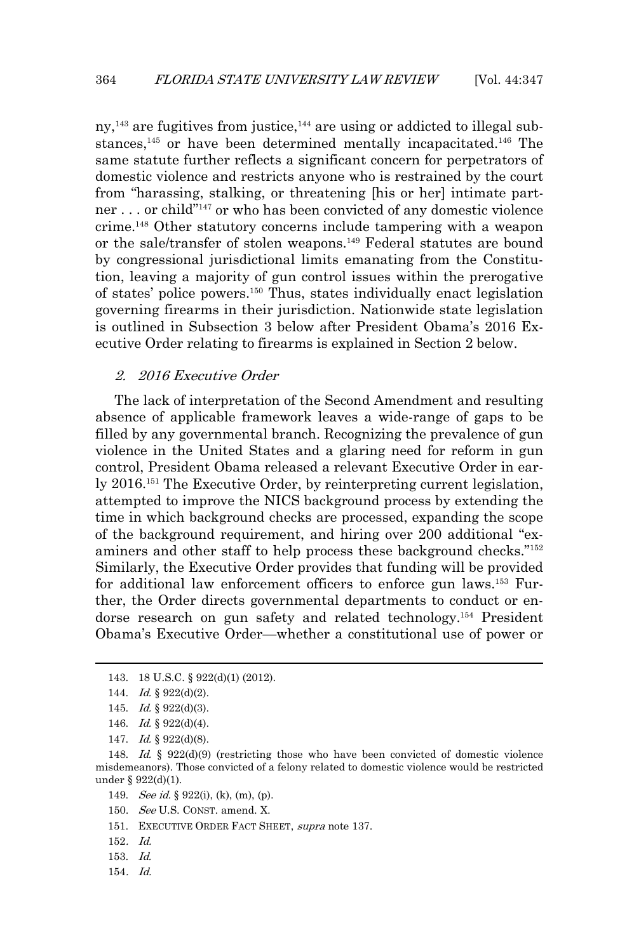$ny$ ,<sup>143</sup> are fugitives from justice,<sup>144</sup> are using or addicted to illegal substances,<sup>145</sup> or have been determined mentally incapacitated.<sup>146</sup> The same statute further reflects a significant concern for perpetrators of domestic violence and restricts anyone who is restrained by the court from "harassing, stalking, or threatening [his or her] intimate partner . . . or child"147 or who has been convicted of any domestic violence crime.148 Other statutory concerns include tampering with a weapon or the sale/transfer of stolen weapons.<sup>149</sup> Federal statutes are bound by congressional jurisdictional limits emanating from the Constitution, leaving a majority of gun control issues within the prerogative of states' police powers. <sup>150</sup> Thus, states individually enact legislation governing firearms in their jurisdiction. Nationwide state legislation is outlined in Subsection 3 below after President Obama's 2016 Executive Order relating to firearms is explained in Section 2 below.

#### 2. 2016 Executive Order

The lack of interpretation of the Second Amendment and resulting absence of applicable framework leaves a wide-range of gaps to be filled by any governmental branch. Recognizing the prevalence of gun violence in the United States and a glaring need for reform in gun control, President Obama released a relevant Executive Order in early 2016.151 The Executive Order, by reinterpreting current legislation, attempted to improve the NICS background process by extending the time in which background checks are processed, expanding the scope of the background requirement, and hiring over 200 additional "examiners and other staff to help process these background checks."152 Similarly, the Executive Order provides that funding will be provided for additional law enforcement officers to enforce gun laws.<sup>153</sup> Further, the Order directs governmental departments to conduct or endorse research on gun safety and related technology.154 President Obama's Executive Order—whether a constitutional use of power or

- 149. See id. § 922(i), (k), (m), (p).
- 150. See U.S. CONST. amend. X.
- 151. EXECUTIVE ORDER FACT SHEET, supra note 137.
- 152. Id.

- 153. Id.
- 154. Id.

<sup>143. 18</sup> U.S.C. § 922(d)(1) (2012).

<sup>144.</sup> *Id.* § 922(d)(2).

<sup>145.</sup> *Id.* § 922(d)(3).

<sup>146.</sup> *Id.* §  $922(d)(4)$ .

<sup>147.</sup> *Id.* § 922(d)(8).

<sup>148.</sup> Id. § 922(d)(9) (restricting those who have been convicted of domestic violence misdemeanors). Those convicted of a felony related to domestic violence would be restricted under § 922(d)(1).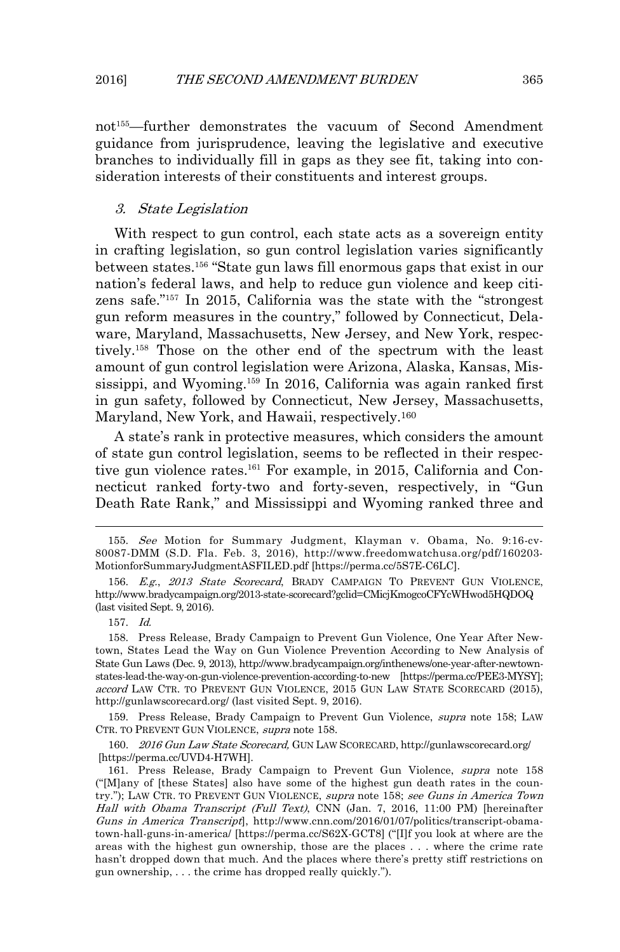not155—further demonstrates the vacuum of Second Amendment guidance from jurisprudence, leaving the legislative and executive branches to individually fill in gaps as they see fit, taking into consideration interests of their constituents and interest groups.

#### 3. State Legislation

With respect to gun control, each state acts as a sovereign entity in crafting legislation, so gun control legislation varies significantly between states. <sup>156</sup> "State gun laws fill enormous gaps that exist in our nation's federal laws, and help to reduce gun violence and keep citizens safe."157 In 2015, California was the state with the "strongest gun reform measures in the country," followed by Connecticut, Delaware, Maryland, Massachusetts, New Jersey, and New York, respectively. <sup>158</sup> Those on the other end of the spectrum with the least amount of gun control legislation were Arizona, Alaska, Kansas, Mississippi, and Wyoming.<sup>159</sup> In 2016, California was again ranked first in gun safety, followed by Connecticut, New Jersey, Massachusetts, Maryland, New York, and Hawaii, respectively.<sup>160</sup>

A state's rank in protective measures, which considers the amount of state gun control legislation, seems to be reflected in their respective gun violence rates. <sup>161</sup> For example, in 2015, California and Connecticut ranked forty-two and forty-seven, respectively, in "Gun Death Rate Rank," and Mississippi and Wyoming ranked three and

 $\overline{a}$ 

159. Press Release, Brady Campaign to Prevent Gun Violence, supra note 158; LAW CTR. TO PREVENT GUN VIOLENCE, supra note 158.

160. 2016 Gun Law State Scorecard, GUN LAW SCORECARD, http://gunlawscorecard.org/ [https://perma.cc/UVD4-H7WH].

<sup>155.</sup> See Motion for Summary Judgment, Klayman v. Obama, No. 9:16-cv-80087-DMM (S.D. Fla. Feb. 3, 2016), http://www.freedomwatchusa.org/pdf/160203- MotionforSummaryJudgmentASFILED.pdf [https://perma.cc/5S7E-C6LC].

<sup>156.</sup> E.g., 2013 State Scorecard, BRADY CAMPAIGN TO PREVENT GUN VIOLENCE, http://www.bradycampaign.org/2013-state-scorecard?gclid=CMicjKmogcoCFYcWHwod5HQDOQ (last visited Sept. 9, 2016).

<sup>157.</sup> Id.

<sup>158.</sup> Press Release, Brady Campaign to Prevent Gun Violence, One Year After Newtown, States Lead the Way on Gun Violence Prevention According to New Analysis of State Gun Laws (Dec. 9, 2013), http://www.bradycampaign.org/inthenews/one-year-after-newtownstates-lead-the-way-on-gun-violence-prevention-according-to-new [https://perma.cc/PEE3-MYSY]; accord LAW CTR. TO PREVENT GUN VIOLENCE, 2015 GUN LAW STATE SCORECARD (2015), http://gunlawscorecard.org/ (last visited Sept. 9, 2016).

<sup>161.</sup> Press Release, Brady Campaign to Prevent Gun Violence, supra note 158 ("[M]any of [these States] also have some of the highest gun death rates in the country."); LAW CTR. TO PREVENT GUN VIOLENCE, supra note 158; see Guns in America Town Hall with Obama Transcript (Full Text), CNN (Jan. 7, 2016, 11:00 PM) [hereinafter Guns in America Transcript, http://www.cnn.com/2016/01/07/politics/transcript-obamatown-hall-guns-in-america/ [https://perma.cc/S62X-GCT8] ("[I]f you look at where are the areas with the highest gun ownership, those are the places . . . where the crime rate hasn't dropped down that much. And the places where there's pretty stiff restrictions on gun ownership, . . . the crime has dropped really quickly.").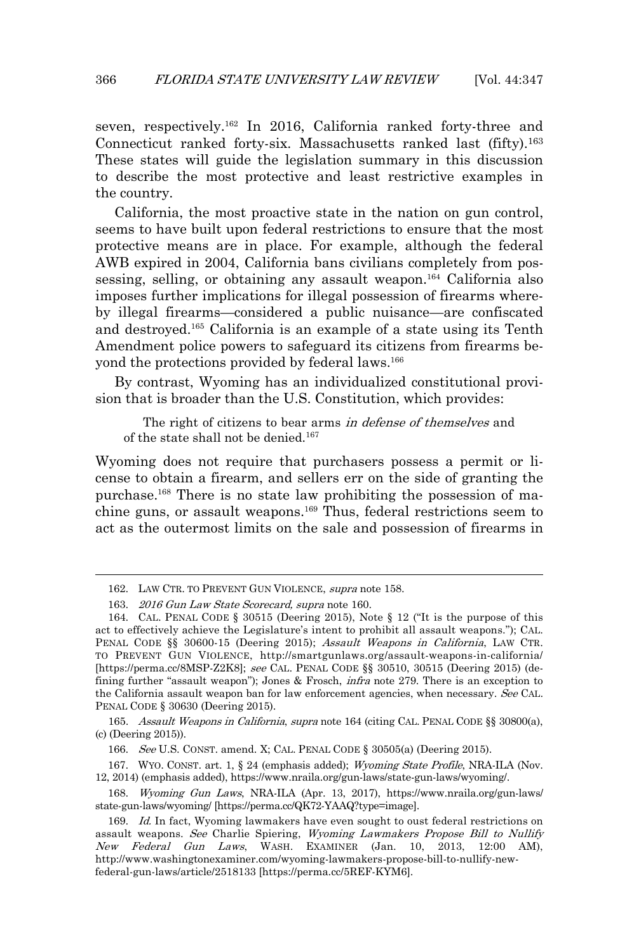seven, respectively.<sup>162</sup> In 2016, California ranked forty-three and Connecticut ranked forty-six. Massachusetts ranked last (fifty).163 These states will guide the legislation summary in this discussion to describe the most protective and least restrictive examples in the country.

California, the most proactive state in the nation on gun control, seems to have built upon federal restrictions to ensure that the most protective means are in place. For example, although the federal AWB expired in 2004, California bans civilians completely from possessing, selling, or obtaining any assault weapon.164 California also imposes further implications for illegal possession of firearms whereby illegal firearms—considered a public nuisance—are confiscated and destroyed.165 California is an example of a state using its Tenth Amendment police powers to safeguard its citizens from firearms beyond the protections provided by federal laws.<sup>166</sup>

By contrast, Wyoming has an individualized constitutional provision that is broader than the U.S. Constitution, which provides:

The right of citizens to bear arms in defense of themselves and of the state shall not be denied.<sup>167</sup>

Wyoming does not require that purchasers possess a permit or license to obtain a firearm, and sellers err on the side of granting the purchase.168 There is no state law prohibiting the possession of machine guns, or assault weapons.169 Thus, federal restrictions seem to act as the outermost limits on the sale and possession of firearms in

 $\overline{a}$ 

165. Assault Weapons in California, supra note 164 (citing CAL. PENAL CODE §§ 30800(a), (c) (Deering 2015)).

166. See U.S. CONST. amend. X; CAL. PENAL CODE § 30505(a) (Deering 2015).

167. WYO. CONST. art. 1, § 24 (emphasis added); Wyoming State Profile, NRA-ILA (Nov. 12, 2014) (emphasis added), https://www.nraila.org/gun-laws/state-gun-laws/wyoming/.

168. Wyoming Gun Laws, NRA-ILA (Apr. 13, 2017), https://www.nraila.org/gun-laws/ state-gun-laws/wyoming/ [https://perma.cc/QK72-YAAQ?type=image].

<sup>162.</sup> LAW CTR. TO PREVENT GUN VIOLENCE, supra note 158.

<sup>163. 2016</sup> Gun Law State Scorecard, supra note 160.

<sup>164.</sup> CAL. PENAL CODE § 30515 (Deering 2015), Note § 12 ("It is the purpose of this act to effectively achieve the Legislature's intent to prohibit all assault weapons."); CAL. PENAL CODE §§ 30600-15 (Deering 2015); Assault Weapons in California, LAW CTR. TO PREVENT GUN VIOLENCE, http://smartgunlaws.org/assault-weapons-in-california/ [https://perma.cc/8MSP-Z2K8]; see CAL. PENAL CODE §§ 30510, 30515 (Deering 2015) (defining further "assault weapon"); Jones & Frosch, *infra* note 279. There is an exception to the California assault weapon ban for law enforcement agencies, when necessary. See CAL. PENAL CODE § 30630 (Deering 2015).

<sup>169.</sup> Id. In fact, Wyoming lawmakers have even sought to oust federal restrictions on assault weapons. See Charlie Spiering, Wyoming Lawmakers Propose Bill to Nullify New Federal Gun Laws, WASH. EXAMINER (Jan. 10, 2013, 12:00 AM), http://www.washingtonexaminer.com/wyoming-lawmakers-propose-bill-to-nullify-newfederal-gun-laws/article/2518133 [https://perma.cc/5REF-KYM6].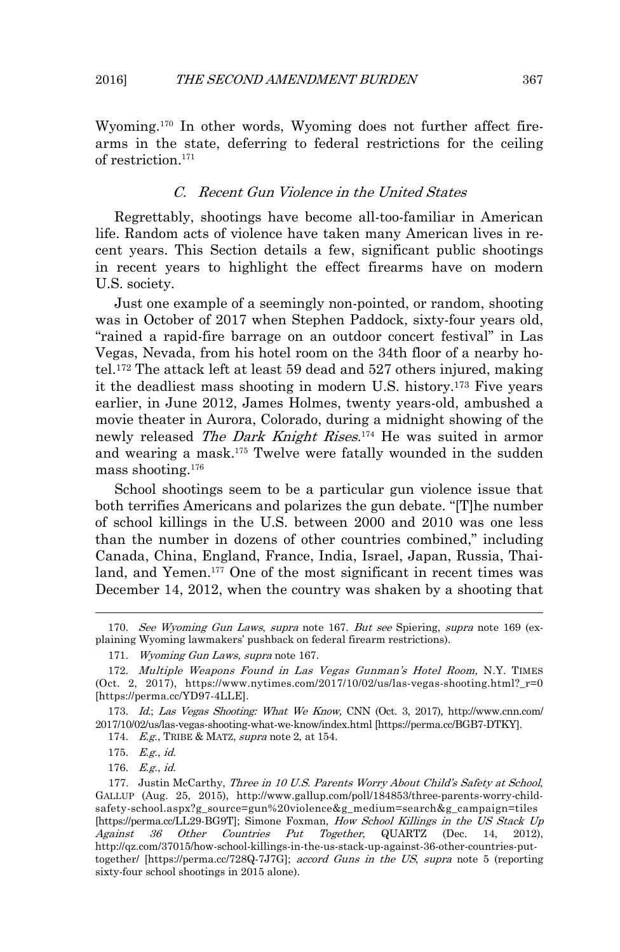Wyoming.170 In other words, Wyoming does not further affect firearms in the state, deferring to federal restrictions for the ceiling of restriction.<sup>171</sup>

#### C. Recent Gun Violence in the United States

Regrettably, shootings have become all-too-familiar in American life. Random acts of violence have taken many American lives in recent years. This Section details a few, significant public shootings in recent years to highlight the effect firearms have on modern U.S. society.

Just one example of a seemingly non-pointed, or random, shooting was in October of 2017 when Stephen Paddock, sixty-four years old, "rained a rapid-fire barrage on an outdoor concert festival" in Las Vegas, Nevada, from his hotel room on the 34th floor of a nearby hotel.172 The attack left at least 59 dead and 527 others injured, making it the deadliest mass shooting in modern U.S. history.173 Five years earlier, in June 2012, James Holmes, twenty years-old, ambushed a movie theater in Aurora, Colorado, during a midnight showing of the newly released The Dark Knight Rises.<sup>174</sup> He was suited in armor and wearing a mask.175 Twelve were fatally wounded in the sudden mass shooting.176

School shootings seem to be a particular gun violence issue that both terrifies Americans and polarizes the gun debate. "[T]he number of school killings in the U.S. between 2000 and 2010 was one less than the number in dozens of other countries combined," including Canada, China, England, France, India, Israel, Japan, Russia, Thailand, and Yemen.<sup>177</sup> One of the most significant in recent times was December 14, 2012, when the country was shaken by a shooting that

174. E.g., TRIBE & MATZ, supra note 2, at 154.

 $\overline{a}$ 

176. E.g., id.

<sup>170.</sup> See Wyoming Gun Laws, supra note 167. But see Spiering, supra note 169 (explaining Wyoming lawmakers' pushback on federal firearm restrictions).

<sup>171.</sup> Wyoming Gun Laws, supra note 167.

<sup>172.</sup> Multiple Weapons Found in Las Vegas Gunman's Hotel Room, N.Y. TIMES (Oct. 2, 2017), https://www.nytimes.com/2017/10/02/us/las-vegas-shooting.html?\_r=0 [https://perma.cc/YD97-4LLE].

<sup>173.</sup> Id.; Las Vegas Shooting: What We Know, CNN (Oct. 3, 2017), http://www.cnn.com/ 2017/10/02/us/las-vegas-shooting-what-we-know/index.html [https://perma.cc/BGB7-DTKY].

<sup>175.</sup> E.g., id.

<sup>177.</sup> Justin McCarthy, Three in 10 U.S. Parents Worry About Child's Safety at School, GALLUP (Aug. 25, 2015), http://www.gallup.com/poll/184853/three-parents-worry-childsafety-school.aspx?g\_source=gun%20violence&g\_medium=search&g\_campaign=tiles [https://perma.cc/LL29-BG9T]; Simone Foxman, How School Killings in the US Stack Up Against 36 Other Countries Put Together, QUARTZ (Dec. 14, 2012), http://qz.com/37015/how-school-killings-in-the-us-stack-up-against-36-other-countries-puttogether/ [https://perma.cc/728Q-7J7G]; accord Guns in the US, supra note 5 (reporting sixty-four school shootings in 2015 alone).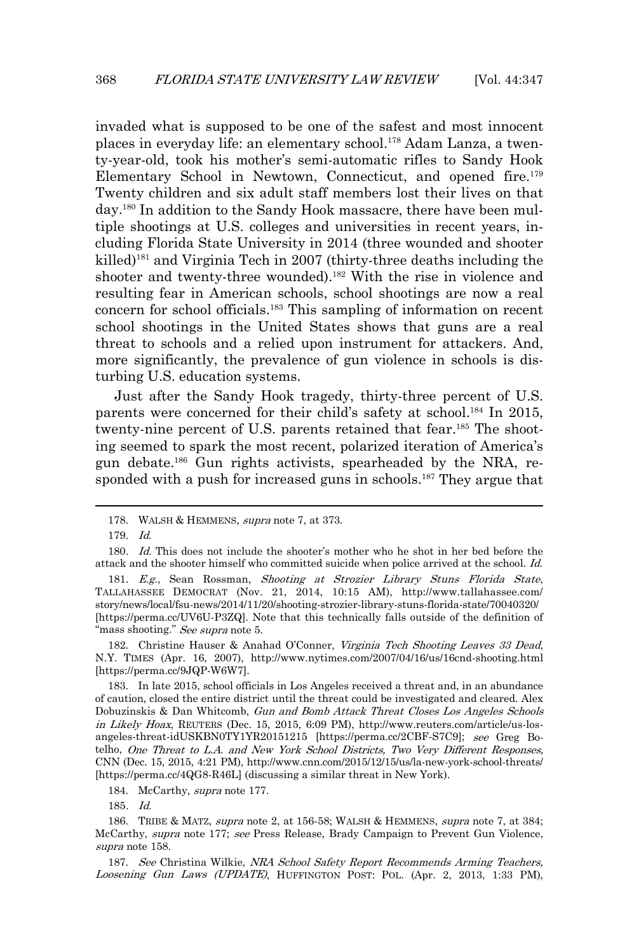invaded what is supposed to be one of the safest and most innocent places in everyday life: an elementary school.178 Adam Lanza, a twenty-year-old, took his mother's semi-automatic rifles to Sandy Hook Elementary School in Newtown, Connecticut, and opened fire.<sup>179</sup> Twenty children and six adult staff members lost their lives on that day.180 In addition to the Sandy Hook massacre, there have been multiple shootings at U.S. colleges and universities in recent years, including Florida State University in 2014 (three wounded and shooter killed)181 and Virginia Tech in 2007 (thirty-three deaths including the shooter and twenty-three wounded).<sup>182</sup> With the rise in violence and resulting fear in American schools, school shootings are now a real concern for school officials.183 This sampling of information on recent school shootings in the United States shows that guns are a real threat to schools and a relied upon instrument for attackers. And, more significantly, the prevalence of gun violence in schools is disturbing U.S. education systems.

Just after the Sandy Hook tragedy, thirty-three percent of U.S. parents were concerned for their child's safety at school. <sup>184</sup> In 2015, twenty-nine percent of U.S. parents retained that fear.<sup>185</sup> The shooting seemed to spark the most recent, polarized iteration of America's gun debate.186 Gun rights activists, spearheaded by the NRA, responded with a push for increased guns in schools.<sup>187</sup> They argue that

 $\overline{a}$ 

182. Christine Hauser & Anahad O'Conner, Virginia Tech Shooting Leaves 33 Dead, N.Y. TIMES (Apr. 16, 2007), http://www.nytimes.com/2007/04/16/us/16cnd-shooting.html [https://perma.cc/9JQP-W6W7].

184. McCarthy, supra note 177.

185. Id.

<sup>178.</sup> WALSH & HEMMENS, supra note 7, at 373.

<sup>179.</sup> Id.

<sup>180</sup>. Id. This does not include the shooter's mother who he shot in her bed before the attack and the shooter himself who committed suicide when police arrived at the school. Id.

<sup>181.</sup> E.g., Sean Rossman, Shooting at Strozier Library Stuns Florida State, TALLAHASSEE DEMOCRAT (Nov. 21, 2014, 10:15 AM), http://www.tallahassee.com/ story/news/local/fsu-news/2014/11/20/shooting-strozier-library-stuns-florida-state/70040320/ [https://perma.cc/UV6U-P3ZQ]. Note that this technically falls outside of the definition of "mass shooting." See supra note 5.

<sup>183.</sup> In late 2015, school officials in Los Angeles received a threat and, in an abundance of caution, closed the entire district until the threat could be investigated and cleared. Alex Dobuzinskis & Dan Whitcomb, Gun and Bomb Attack Threat Closes Los Angeles Schools in Likely Hoax, REUTERS (Dec. 15, 2015, 6:09 PM), http://www.reuters.com/article/us-losangeles-threat-idUSKBN0TY1YR20151215 [https://perma.cc/2CBF-S7C9]; see Greg Botelho, One Threat to L.A. and New York School Districts, Two Very Different Responses, CNN (Dec. 15, 2015, 4:21 PM), http://www.cnn.com/2015/12/15/us/la-new-york-school-threats/ [https://perma.cc/4QG8-R46L] (discussing a similar threat in New York).

<sup>186.</sup> TRIBE & MATZ, supra note 2, at 156-58; WALSH & HEMMENS, supra note 7, at 384; McCarthy, supra note 177; see Press Release, Brady Campaign to Prevent Gun Violence, supra note 158.

<sup>187.</sup> See Christina Wilkie, NRA School Safety Report Recommends Arming Teachers, Loosening Gun Laws (UPDATE), HUFFINGTON POST: POL. (Apr. 2, 2013, 1:33 PM),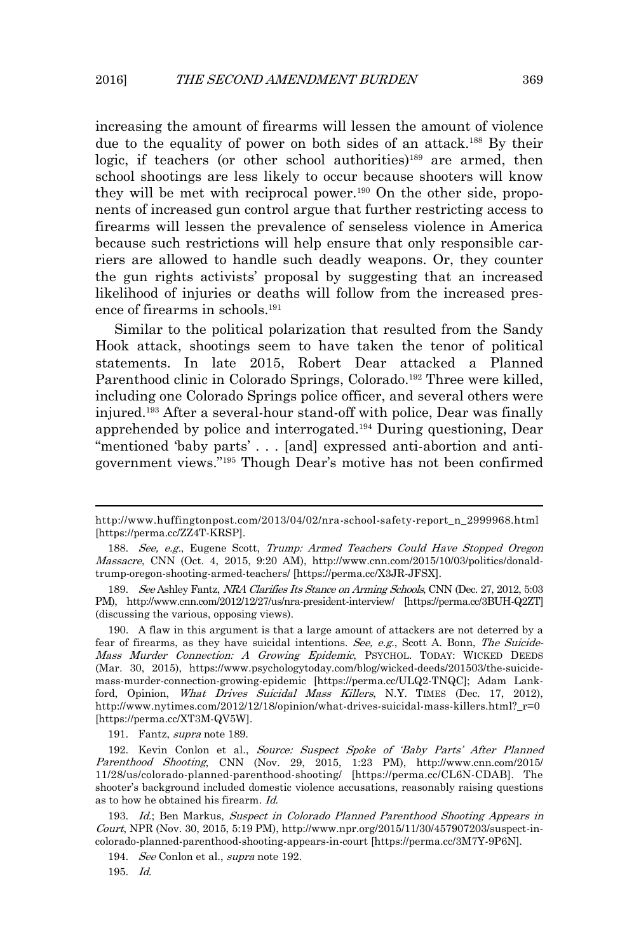increasing the amount of firearms will lessen the amount of violence due to the equality of power on both sides of an attack.188 By their logic, if teachers (or other school authorities)<sup>189</sup> are armed, then school shootings are less likely to occur because shooters will know they will be met with reciprocal power. <sup>190</sup> On the other side, proponents of increased gun control argue that further restricting access to firearms will lessen the prevalence of senseless violence in America because such restrictions will help ensure that only responsible carriers are allowed to handle such deadly weapons. Or, they counter the gun rights activists' proposal by suggesting that an increased likelihood of injuries or deaths will follow from the increased presence of firearms in schools.191

Similar to the political polarization that resulted from the Sandy Hook attack, shootings seem to have taken the tenor of political statements. In late 2015, Robert Dear attacked a Planned Parenthood clinic in Colorado Springs, Colorado.<sup>192</sup> Three were killed, including one Colorado Springs police officer, and several others were injured.193 After a several-hour stand-off with police, Dear was finally apprehended by police and interrogated.194 During questioning, Dear "mentioned 'baby parts' . . . [and] expressed anti-abortion and antigovernment views."195 Though Dear's motive has not been confirmed

191. Fantz, supra note 189.

195. Id.

http://www.huffingtonpost.com/2013/04/02/nra-school-safety-report\_n\_2999968.html [https://perma.cc/ZZ4T-KRSP].

<sup>188.</sup> See, e.g., Eugene Scott, Trump: Armed Teachers Could Have Stopped Oregon Massacre, CNN (Oct. 4, 2015, 9:20 AM), http://www.cnn.com/2015/10/03/politics/donaldtrump-oregon-shooting-armed-teachers/ [https://perma.cc/X3JR-JFSX].

<sup>189.</sup> See Ashley Fantz, NRA Clarifies Its Stance on Arming Schools, CNN (Dec. 27, 2012, 5:03 PM), http://www.cnn.com/2012/12/27/us/nra-president-interview/ [https://perma.cc/3BUH-Q2ZT] (discussing the various, opposing views).

<sup>190.</sup> A flaw in this argument is that a large amount of attackers are not deterred by a fear of firearms, as they have suicidal intentions. See, e.g., Scott A. Bonn, The Suicide-Mass Murder Connection: A Growing Epidemic, PSYCHOL. TODAY: WICKED DEEDS (Mar. 30, 2015), https://www.psychologytoday.com/blog/wicked-deeds/201503/the-suicidemass-murder-connection-growing-epidemic [https://perma.cc/ULQ2-TNQC]; Adam Lankford, Opinion, What Drives Suicidal Mass Killers, N.Y. TIMES (Dec. 17, 2012), http://www.nytimes.com/2012/12/18/opinion/what-drives-suicidal-mass-killers.html?\_r=0 [https://perma.cc/XT3M-QV5W].

<sup>192.</sup> Kevin Conlon et al., Source: Suspect Spoke of 'Baby Parts' After Planned Parenthood Shooting, CNN (Nov. 29, 2015, 1:23 PM), http://www.cnn.com/2015/ 11/28/us/colorado-planned-parenthood-shooting/ [https://perma.cc/CL6N-CDAB]. The shooter's background included domestic violence accusations, reasonably raising questions as to how he obtained his firearm. Id.

<sup>193.</sup> Id.; Ben Markus, Suspect in Colorado Planned Parenthood Shooting Appears in Court, NPR (Nov. 30, 2015, 5:19 PM), http://www.npr.org/2015/11/30/457907203/suspect-incolorado-planned-parenthood-shooting-appears-in-court [https://perma.cc/3M7Y-9P6N].

<sup>194.</sup> See Conlon et al., supra note 192.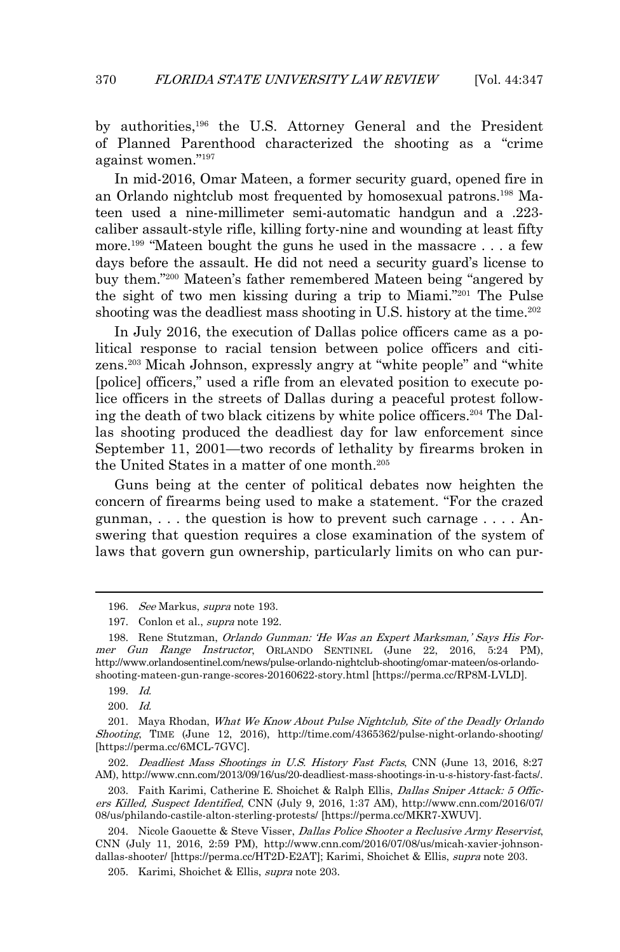by authorities,196 the U.S. Attorney General and the President of Planned Parenthood characterized the shooting as a "crime against women."197

In mid-2016, Omar Mateen, a former security guard, opened fire in an Orlando nightclub most frequented by homosexual patrons.198 Mateen used a nine-millimeter semi-automatic handgun and a .223 caliber assault-style rifle, killing forty-nine and wounding at least fifty more.<sup>199</sup> "Mateen bought the guns he used in the massacre . . . a few days before the assault. He did not need a security guard's license to buy them."200 Mateen's father remembered Mateen being "angered by the sight of two men kissing during a trip to Miami."201 The Pulse shooting was the deadliest mass shooting in U.S. history at the time.<sup>202</sup>

In July 2016, the execution of Dallas police officers came as a political response to racial tension between police officers and citizens.203 Micah Johnson, expressly angry at "white people" and "white [police] officers," used a rifle from an elevated position to execute police officers in the streets of Dallas during a peaceful protest following the death of two black citizens by white police officers.204 The Dallas shooting produced the deadliest day for law enforcement since September 11, 2001—two records of lethality by firearms broken in the United States in a matter of one month.205

 Guns being at the center of political debates now heighten the concern of firearms being used to make a statement. "For the crazed gunman,  $\dots$  the question is how to prevent such carnage  $\dots$ . swering that question requires a close examination of the system of laws that govern gun ownership, particularly limits on who can pur-

 $\overline{a}$ 

202. Deadliest Mass Shootings in U.S. History Fast Facts, CNN (June 13, 2016, 8:27 AM), http://www.cnn.com/2013/09/16/us/20-deadliest-mass-shootings-in-u-s-history-fast-facts/.

<sup>196.</sup> See Markus, supra note 193.

<sup>197.</sup> Conlon et al., supra note 192.

<sup>198.</sup> Rene Stutzman, Orlando Gunman: 'He Was an Expert Marksman,' Says His Former Gun Range Instructor, ORLANDO SENTINEL (June 22, 2016, 5:24 PM), http://www.orlandosentinel.com/news/pulse-orlando-nightclub-shooting/omar-mateen/os-orlandoshooting-mateen-gun-range-scores-20160622-story.html [https://perma.cc/RP8M-LVLD].

<sup>199.</sup> Id.

<sup>200.</sup> Id.

<sup>201.</sup> Maya Rhodan, What We Know About Pulse Nightclub, Site of the Deadly Orlando Shooting, TIME (June 12, 2016), http://time.com/4365362/pulse-night-orlando-shooting/ [https://perma.cc/6MCL-7GVC].

<sup>203.</sup> Faith Karimi, Catherine E. Shoichet & Ralph Ellis, *Dallas Sniper Attack: 5 Offic*ers Killed, Suspect Identified, CNN (July 9, 2016, 1:37 AM), http://www.cnn.com/2016/07/ 08/us/philando-castile-alton-sterling-protests/ [https://perma.cc/MKR7-XWUV].

<sup>204.</sup> Nicole Gaouette & Steve Visser, Dallas Police Shooter a Reclusive Army Reservist, CNN (July 11, 2016, 2:59 PM), http://www.cnn.com/2016/07/08/us/micah-xavier-johnsondallas-shooter/ [https://perma.cc/HT2D-E2AT]; Karimi, Shoichet & Ellis, *supra* note 203.

<sup>205.</sup> Karimi, Shoichet & Ellis, supra note 203.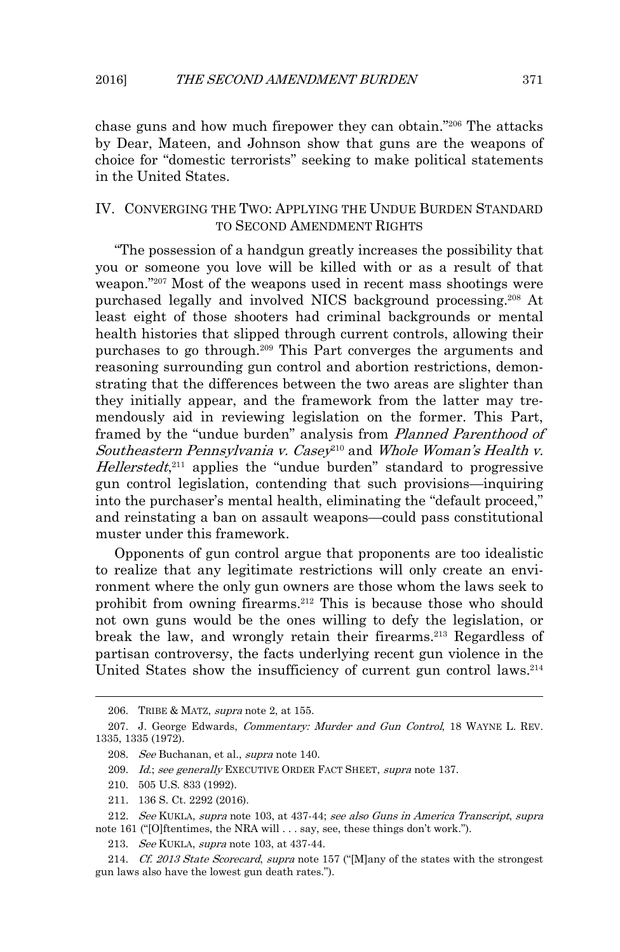chase guns and how much firepower they can obtain."206 The attacks by Dear, Mateen, and Johnson show that guns are the weapons of choice for "domestic terrorists" seeking to make political statements in the United States.

#### IV. CONVERGING THE TWO: APPLYING THE UNDUE BURDEN STANDARD TO SECOND AMENDMENT RIGHTS

"The possession of a handgun greatly increases the possibility that you or someone you love will be killed with or as a result of that weapon."207 Most of the weapons used in recent mass shootings were purchased legally and involved NICS background processing.208 At least eight of those shooters had criminal backgrounds or mental health histories that slipped through current controls, allowing their purchases to go through. <sup>209</sup> This Part converges the arguments and reasoning surrounding gun control and abortion restrictions, demonstrating that the differences between the two areas are slighter than they initially appear, and the framework from the latter may tremendously aid in reviewing legislation on the former. This Part, framed by the "undue burden" analysis from *Planned Parenthood of* Southeastern Pennsylvania v. Casey<sup>210</sup> and Whole Woman's Health v. Hellerstedt,<sup>211</sup> applies the "undue burden" standard to progressive gun control legislation, contending that such provisions—inquiring into the purchaser's mental health, eliminating the "default proceed," and reinstating a ban on assault weapons—could pass constitutional muster under this framework.

Opponents of gun control argue that proponents are too idealistic to realize that any legitimate restrictions will only create an environment where the only gun owners are those whom the laws seek to prohibit from owning firearms. <sup>212</sup> This is because those who should not own guns would be the ones willing to defy the legislation, or break the law, and wrongly retain their firearms.<sup>213</sup> Regardless of partisan controversy, the facts underlying recent gun violence in the United States show the insufficiency of current gun control laws.<sup>214</sup>

<sup>206.</sup> TRIBE & MATZ, supra note 2, at 155.

<sup>207.</sup> J. George Edwards, Commentary: Murder and Gun Control, 18 WAYNE L. REV. 1335, 1335 (1972).

<sup>208.</sup> See Buchanan, et al., supra note 140.

<sup>209.</sup> Id.; see generally EXECUTIVE ORDER FACT SHEET, supra note 137.

<sup>210. 505</sup> U.S. 833 (1992).

<sup>211. 136</sup> S. Ct. 2292 (2016).

<sup>212.</sup> See KUKLA, supra note 103, at 437-44; see also Guns in America Transcript, supra note 161 ("[O]ftentimes, the NRA will . . . say, see, these things don't work.").

<sup>213.</sup> See KUKLA, supra note 103, at 437-44.

<sup>214.</sup> Cf. 2013 State Scorecard, supra note 157 ("[M]any of the states with the strongest gun laws also have the lowest gun death rates.").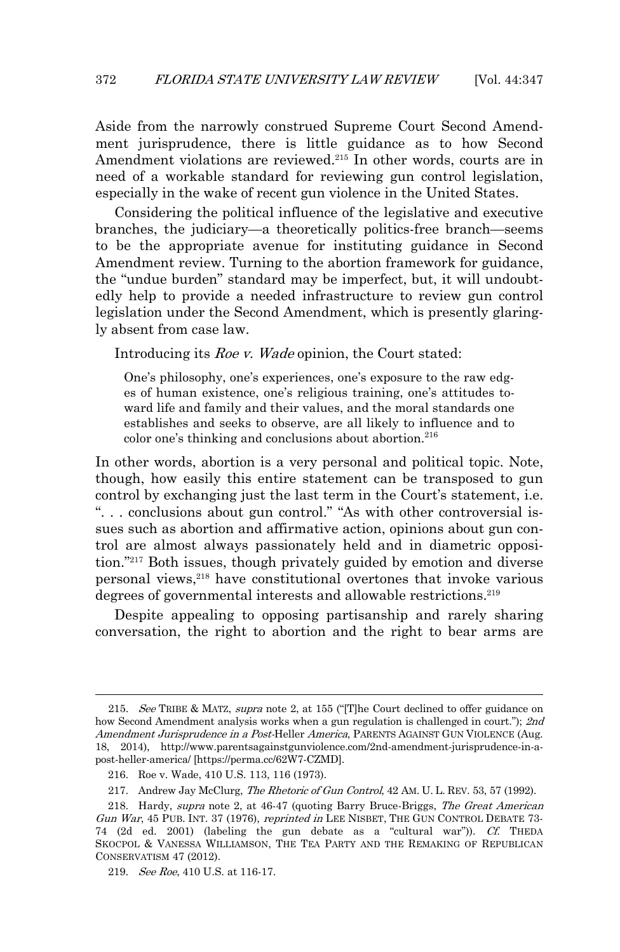Aside from the narrowly construed Supreme Court Second Amendment jurisprudence, there is little guidance as to how Second Amendment violations are reviewed.<sup>215</sup> In other words, courts are in need of a workable standard for reviewing gun control legislation, especially in the wake of recent gun violence in the United States.

 Considering the political influence of the legislative and executive branches, the judiciary—a theoretically politics-free branch—seems to be the appropriate avenue for instituting guidance in Second Amendment review. Turning to the abortion framework for guidance, the "undue burden" standard may be imperfect, but, it will undoubtedly help to provide a needed infrastructure to review gun control legislation under the Second Amendment, which is presently glaringly absent from case law.

Introducing its *Roe v. Wade* opinion, the Court stated:

One's philosophy, one's experiences, one's exposure to the raw edges of human existence, one's religious training, one's attitudes toward life and family and their values, and the moral standards one establishes and seeks to observe, are all likely to influence and to color one's thinking and conclusions about abortion.<sup>216</sup>

In other words, abortion is a very personal and political topic. Note, though, how easily this entire statement can be transposed to gun control by exchanging just the last term in the Court's statement, i.e. ". . . conclusions about gun control." "As with other controversial issues such as abortion and affirmative action, opinions about gun control are almost always passionately held and in diametric opposition."217 Both issues, though privately guided by emotion and diverse personal views,218 have constitutional overtones that invoke various degrees of governmental interests and allowable restrictions.<sup>219</sup>

 Despite appealing to opposing partisanship and rarely sharing conversation, the right to abortion and the right to bear arms are

<sup>215.</sup> See TRIBE & MATZ, supra note 2, at 155 ("[T]he Court declined to offer guidance on how Second Amendment analysis works when a gun regulation is challenged in court."); 2nd Amendment Jurisprudence in a Post-Heller America, PARENTS AGAINST GUN VIOLENCE (Aug. 18, 2014), http://www.parentsagainstgunviolence.com/2nd-amendment-jurisprudence-in-apost-heller-america/ [https://perma.cc/62W7-CZMD].

<sup>216.</sup> Roe v. Wade, 410 U.S. 113, 116 (1973).

<sup>217.</sup> Andrew Jay McClurg, The Rhetoric of Gun Control, 42 AM. U. L. REV. 53, 57 (1992).

<sup>218.</sup> Hardy, supra note 2, at 46-47 (quoting Barry Bruce-Briggs, The Great American Gun War, 45 PUB. INT. 37 (1976), reprinted in LEE NISBET, THE GUN CONTROL DEBATE 73- 74 (2d ed. 2001) (labeling the gun debate as a "cultural war")). Cf. THEDA SKOCPOL & VANESSA WILLIAMSON, THE TEA PARTY AND THE REMAKING OF REPUBLICAN CONSERVATISM 47 (2012).

<sup>219.</sup> See Roe, 410 U.S. at 116-17.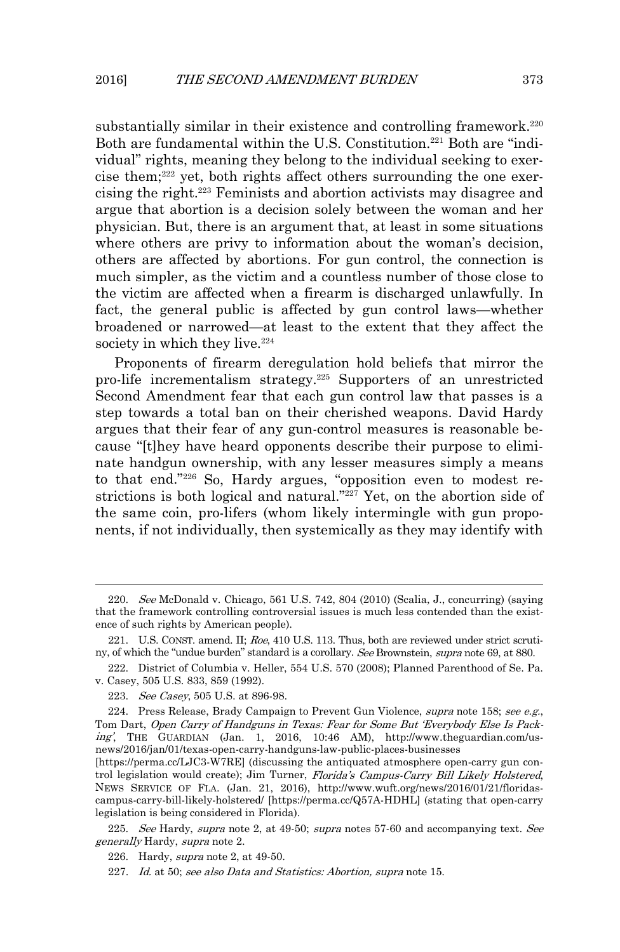substantially similar in their existence and controlling framework.<sup>220</sup> Both are fundamental within the U.S. Constitution.<sup>221</sup> Both are "individual" rights, meaning they belong to the individual seeking to exercise them; 222 yet, both rights affect others surrounding the one exercising the right.223 Feminists and abortion activists may disagree and argue that abortion is a decision solely between the woman and her physician. But, there is an argument that, at least in some situations where others are privy to information about the woman's decision, others are affected by abortions. For gun control, the connection is much simpler, as the victim and a countless number of those close to the victim are affected when a firearm is discharged unlawfully. In fact, the general public is affected by gun control laws—whether broadened or narrowed—at least to the extent that they affect the society in which they live. $224$ 

Proponents of firearm deregulation hold beliefs that mirror the pro-life incrementalism strategy.225 Supporters of an unrestricted Second Amendment fear that each gun control law that passes is a step towards a total ban on their cherished weapons. David Hardy argues that their fear of any gun-control measures is reasonable because "[t]hey have heard opponents describe their purpose to eliminate handgun ownership, with any lesser measures simply a means to that end."226 So, Hardy argues, "opposition even to modest restrictions is both logical and natural."<sup>227</sup> Yet, on the abortion side of the same coin, pro-lifers (whom likely intermingle with gun proponents, if not individually, then systemically as they may identify with

 $\overline{a}$ 

225. See Hardy, supra note 2, at 49-50; supra notes 57-60 and accompanying text. See generally Hardy, supra note 2.

<sup>220.</sup> See McDonald v. Chicago, 561 U.S. 742, 804 (2010) (Scalia, J., concurring) (saying that the framework controlling controversial issues is much less contended than the existence of such rights by American people).

<sup>221.</sup> U.S. CONST. amend. II; Roe, 410 U.S. 113. Thus, both are reviewed under strict scrutiny, of which the "undue burden" standard is a corollary. See Brownstein, supra note 69, at 880.

<sup>222.</sup> District of Columbia v. Heller, 554 U.S. 570 (2008); Planned Parenthood of Se. Pa. v. Casey, 505 U.S. 833, 859 (1992).

<sup>223.</sup> See Casey, 505 U.S. at 896-98.

<sup>224.</sup> Press Release, Brady Campaign to Prevent Gun Violence, *supra* note 158; see e.g., Tom Dart, Open Carry of Handguns in Texas: Fear for Some But 'Everybody Else Is Packing', THE GUARDIAN (Jan. 1, 2016, 10:46 AM), http://www.theguardian.com/usnews/2016/jan/01/texas-open-carry-handguns-law-public-places-businesses

<sup>[</sup>https://perma.cc/LJC3-W7RE] (discussing the antiquated atmosphere open-carry gun control legislation would create); Jim Turner, Florida's Campus-Carry Bill Likely Holstered, NEWS SERVICE OF FLA. (Jan. 21, 2016), http://www.wuft.org/news/2016/01/21/floridascampus-carry-bill-likely-holstered/ [https://perma.cc/Q57A-HDHL] (stating that open-carry legislation is being considered in Florida).

<sup>226.</sup> Hardy, supra note 2, at 49-50.

<sup>227.</sup> Id. at 50; see also Data and Statistics: Abortion, supra note 15.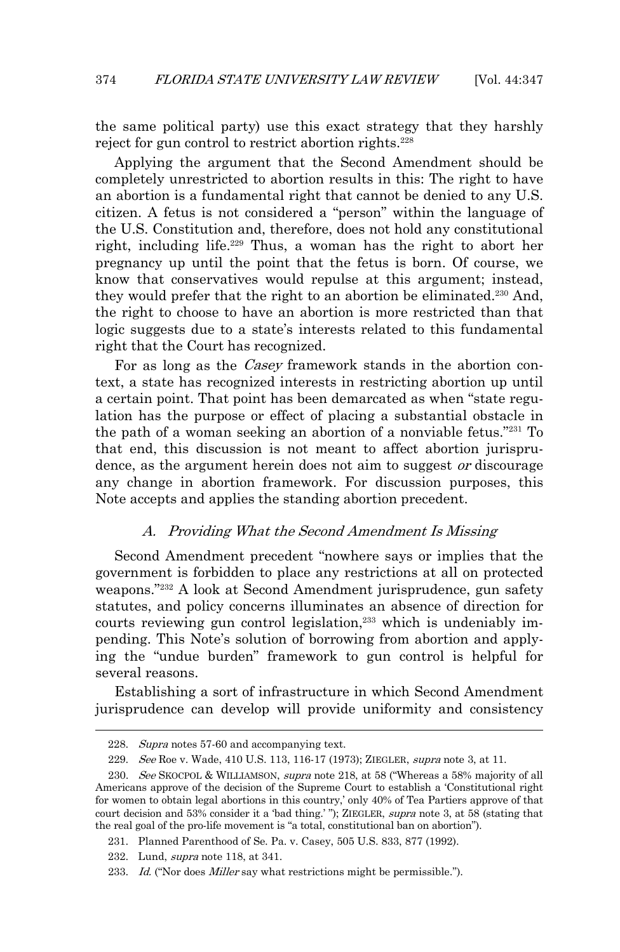the same political party) use this exact strategy that they harshly reject for gun control to restrict abortion rights.228

Applying the argument that the Second Amendment should be completely unrestricted to abortion results in this: The right to have an abortion is a fundamental right that cannot be denied to any U.S. citizen. A fetus is not considered a "person" within the language of the U.S. Constitution and, therefore, does not hold any constitutional right, including life.<sup>229</sup> Thus, a woman has the right to abort her pregnancy up until the point that the fetus is born. Of course, we know that conservatives would repulse at this argument; instead, they would prefer that the right to an abortion be eliminated.230 And, the right to choose to have an abortion is more restricted than that logic suggests due to a state's interests related to this fundamental right that the Court has recognized.

For as long as the *Casey* framework stands in the abortion context, a state has recognized interests in restricting abortion up until a certain point. That point has been demarcated as when "state regulation has the purpose or effect of placing a substantial obstacle in the path of a woman seeking an abortion of a nonviable fetus."231 To that end, this discussion is not meant to affect abortion jurisprudence, as the argument herein does not aim to suggest or discourage any change in abortion framework. For discussion purposes, this Note accepts and applies the standing abortion precedent.

#### A. Providing What the Second Amendment Is Missing

Second Amendment precedent "nowhere says or implies that the government is forbidden to place any restrictions at all on protected weapons."232 A look at Second Amendment jurisprudence, gun safety statutes, and policy concerns illuminates an absence of direction for courts reviewing gun control legislation,<sup>233</sup> which is undeniably impending. This Note's solution of borrowing from abortion and applying the "undue burden" framework to gun control is helpful for several reasons.

 Establishing a sort of infrastructure in which Second Amendment jurisprudence can develop will provide uniformity and consistency

<sup>228.</sup> Supra notes 57-60 and accompanying text.

<sup>229.</sup> See Roe v. Wade, 410 U.S. 113, 116-17 (1973); ZIEGLER, supra note 3, at 11.

<sup>230.</sup> See SKOCPOL & WILLIAMSON, supra note 218, at 58 ("Whereas a 58% majority of all Americans approve of the decision of the Supreme Court to establish a 'Constitutional right for women to obtain legal abortions in this country,' only 40% of Tea Partiers approve of that court decision and 53% consider it a 'bad thing.' "); ZIEGLER, supra note 3, at 58 (stating that the real goal of the pro-life movement is "a total, constitutional ban on abortion").

<sup>231.</sup> Planned Parenthood of Se. Pa. v. Casey, 505 U.S. 833, 877 (1992).

<sup>232.</sup> Lund, supra note 118, at 341.

<sup>233.</sup> Id. ("Nor does *Miller* say what restrictions might be permissible.").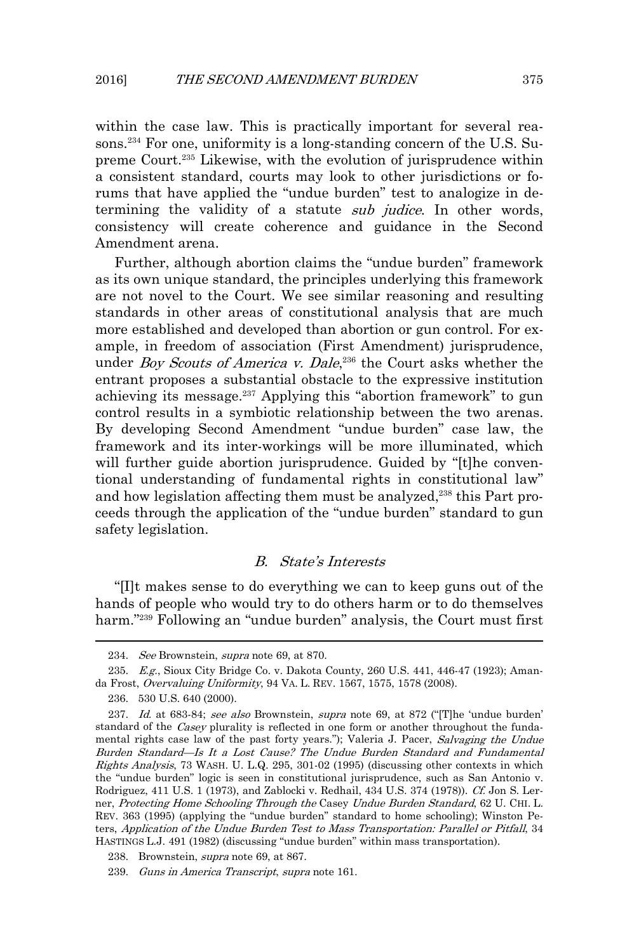within the case law. This is practically important for several reasons.234 For one, uniformity is a long-standing concern of the U.S. Supreme Court.235 Likewise, with the evolution of jurisprudence within a consistent standard, courts may look to other jurisdictions or forums that have applied the "undue burden" test to analogize in determining the validity of a statute *sub judice*. In other words, consistency will create coherence and guidance in the Second Amendment arena.

Further, although abortion claims the "undue burden" framework as its own unique standard, the principles underlying this framework are not novel to the Court. We see similar reasoning and resulting standards in other areas of constitutional analysis that are much more established and developed than abortion or gun control. For example, in freedom of association (First Amendment) jurisprudence, under *Boy Scouts of America v. Dale*,<sup>236</sup> the Court asks whether the entrant proposes a substantial obstacle to the expressive institution achieving its message.237 Applying this "abortion framework" to gun control results in a symbiotic relationship between the two arenas. By developing Second Amendment "undue burden" case law, the framework and its inter-workings will be more illuminated, which will further guide abortion jurisprudence. Guided by "[t]he conventional understanding of fundamental rights in constitutional law" and how legislation affecting them must be analyzed,<sup>238</sup> this Part proceeds through the application of the "undue burden" standard to gun safety legislation.

#### B. State's Interests

"[I]t makes sense to do everything we can to keep guns out of the hands of people who would try to do others harm or to do themselves harm."<sup>239</sup> Following an "undue burden" analysis, the Court must first

<sup>234.</sup> See Brownstein, supra note 69, at 870.

<sup>235.</sup> E.g., Sioux City Bridge Co. v. Dakota County, 260 U.S. 441, 446-47 (1923); Amanda Frost, Overvaluing Uniformity, 94 VA. L. REV. 1567, 1575, 1578 (2008).

<sup>236. 530</sup> U.S. 640 (2000).

<sup>237.</sup> Id. at 683-84; see also Brownstein, supra note 69, at 872 ("[T]he 'undue burden' standard of the *Casey* plurality is reflected in one form or another throughout the fundamental rights case law of the past forty years."); Valeria J. Pacer, Salvaging the Undue Burden Standard—Is It a Lost Cause? The Undue Burden Standard and Fundamental Rights Analysis, 73 WASH. U. L.Q. 295, 301-02 (1995) (discussing other contexts in which the "undue burden" logic is seen in constitutional jurisprudence, such as San Antonio v. Rodriguez, 411 U.S. 1 (1973), and Zablocki v. Redhail, 434 U.S. 374 (1978)). Cf. Jon S. Lerner, Protecting Home Schooling Through the Casey Undue Burden Standard, 62 U. CHI. L. REV. 363 (1995) (applying the "undue burden" standard to home schooling); Winston Peters, Application of the Undue Burden Test to Mass Transportation: Parallel or Pitfall, 34 HASTINGS L.J. 491 (1982) (discussing "undue burden" within mass transportation).

<sup>238.</sup> Brownstein, supra note 69, at 867.

<sup>239.</sup> Guns in America Transcript, supra note 161.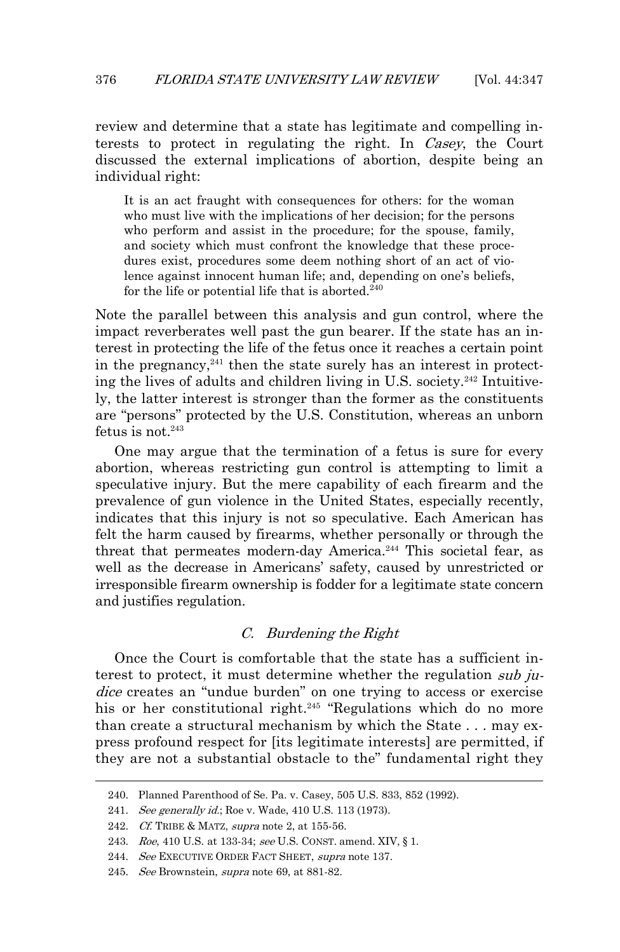review and determine that a state has legitimate and compelling interests to protect in regulating the right. In *Casey*, the Court discussed the external implications of abortion, despite being an individual right:

It is an act fraught with consequences for others: for the woman who must live with the implications of her decision; for the persons who perform and assist in the procedure; for the spouse, family, and society which must confront the knowledge that these procedures exist, procedures some deem nothing short of an act of violence against innocent human life; and, depending on one's beliefs, for the life or potential life that is aborted.<sup>240</sup>

Note the parallel between this analysis and gun control, where the impact reverberates well past the gun bearer. If the state has an interest in protecting the life of the fetus once it reaches a certain point in the pregnancy, $241$  then the state surely has an interest in protecting the lives of adults and children living in U.S. society.242 Intuitively, the latter interest is stronger than the former as the constituents are "persons" protected by the U.S. Constitution, whereas an unborn fetus is not. 243

One may argue that the termination of a fetus is sure for every abortion, whereas restricting gun control is attempting to limit a speculative injury. But the mere capability of each firearm and the prevalence of gun violence in the United States, especially recently, indicates that this injury is not so speculative. Each American has felt the harm caused by firearms, whether personally or through the threat that permeates modern-day America. <sup>244</sup> This societal fear, as well as the decrease in Americans' safety, caused by unrestricted or irresponsible firearm ownership is fodder for a legitimate state concern and justifies regulation.

#### C. Burdening the Right

Once the Court is comfortable that the state has a sufficient interest to protect, it must determine whether the regulation *sub ju*dice creates an "undue burden" on one trying to access or exercise his or her constitutional right.<sup>245</sup> "Regulations which do no more than create a structural mechanism by which the State . . . may express profound respect for [its legitimate interests] are permitted, if they are not a substantial obstacle to the" fundamental right they

<sup>240.</sup> Planned Parenthood of Se. Pa. v. Casey, 505 U.S. 833, 852 (1992).

<sup>241.</sup> See generally id.; Roe v. Wade, 410 U.S. 113 (1973).

<sup>242.</sup> Cf. TRIBE & MATZ, supra note 2, at 155-56.

<sup>243.</sup> Roe, 410 U.S. at 133-34; see U.S. CONST. amend. XIV, § 1.

<sup>244.</sup> See EXECUTIVE ORDER FACT SHEET, supra note 137.

<sup>245.</sup> See Brownstein, supra note 69, at 881-82.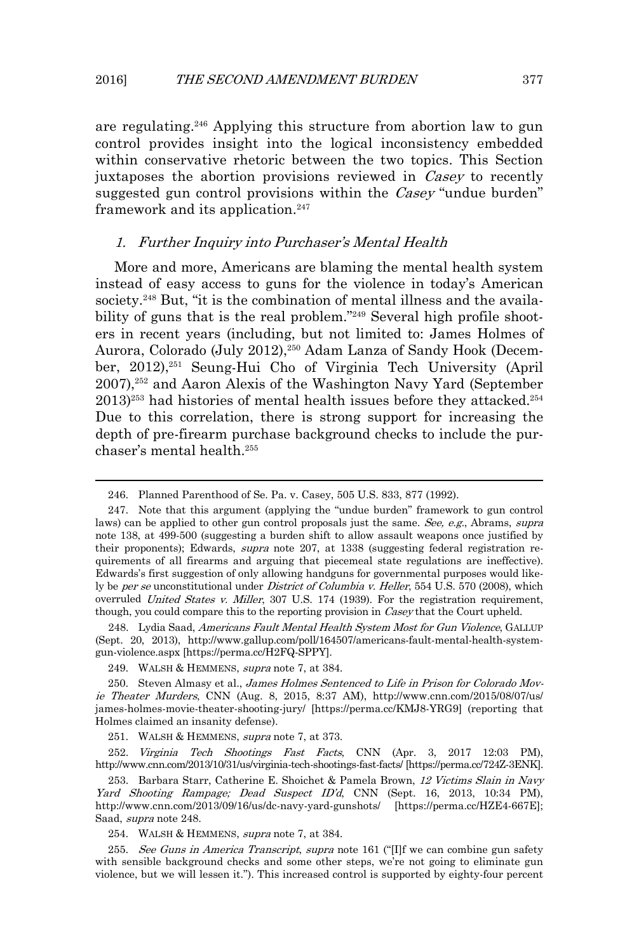2016] THE SECOND AMENDMENT BURDEN 377

are regulating.246 Applying this structure from abortion law to gun control provides insight into the logical inconsistency embedded within conservative rhetoric between the two topics. This Section juxtaposes the abortion provisions reviewed in *Casey* to recently suggested gun control provisions within the *Casey* "undue burden" framework and its application. 247

#### 1. Further Inquiry into Purchaser's Mental Health

More and more, Americans are blaming the mental health system instead of easy access to guns for the violence in today's American society.248 But, "it is the combination of mental illness and the availability of guns that is the real problem."<sup>249</sup> Several high profile shooters in recent years (including, but not limited to: James Holmes of Aurora, Colorado (July 2012),<sup>250</sup> Adam Lanza of Sandy Hook (December, 2012), <sup>251</sup> Seung-Hui Cho of Virginia Tech University (April 2007), <sup>252</sup> and Aaron Alexis of the Washington Navy Yard (September 2013)253 had histories of mental health issues before they attacked. 254 Due to this correlation, there is strong support for increasing the depth of pre-firearm purchase background checks to include the purchaser's mental health. 255

<sup>246.</sup> Planned Parenthood of Se. Pa. v. Casey, 505 U.S. 833, 877 (1992).

<sup>247.</sup> Note that this argument (applying the "undue burden" framework to gun control laws) can be applied to other gun control proposals just the same. See, e.g., Abrams, supra note 138, at 499-500 (suggesting a burden shift to allow assault weapons once justified by their proponents); Edwards, *supra* note 207, at 1338 (suggesting federal registration requirements of all firearms and arguing that piecemeal state regulations are ineffective). Edwards's first suggestion of only allowing handguns for governmental purposes would likely be *per se* unconstitutional under *District of Columbia v. Heller*, 554 U.S. 570 (2008), which overruled United States v. Miller, 307 U.S. 174 (1939). For the registration requirement, though, you could compare this to the reporting provision in *Casey* that the Court upheld.

<sup>248.</sup> Lydia Saad, Americans Fault Mental Health System Most for Gun Violence, GALLUP (Sept. 20, 2013), http://www.gallup.com/poll/164507/americans-fault-mental-health-systemgun-violence.aspx [https://perma.cc/H2FQ-SPPY].

<sup>249.</sup> WALSH & HEMMENS, supra note 7, at 384.

<sup>250.</sup> Steven Almasy et al., James Holmes Sentenced to Life in Prison for Colorado Movie Theater Murders, CNN (Aug. 8, 2015, 8:37 AM), http://www.cnn.com/2015/08/07/us/ james-holmes-movie-theater-shooting-jury/ [https://perma.cc/KMJ8-YRG9] (reporting that Holmes claimed an insanity defense).

<sup>251.</sup> WALSH & HEMMENS, supra note 7, at 373.

<sup>252.</sup> Virginia Tech Shootings Fast Facts, CNN (Apr. 3, 2017 12:03 PM), http://www.cnn.com/2013/10/31/us/virginia-tech-shootings-fast-facts/ [https://perma.cc/724Z-3ENK].

<sup>253.</sup> Barbara Starr, Catherine E. Shoichet & Pamela Brown, 12 Victims Slain in Navy Yard Shooting Rampage; Dead Suspect ID'd, CNN (Sept. 16, 2013, 10:34 PM), http://www.cnn.com/2013/09/16/us/dc-navy-yard-gunshots/ [https://perma.cc/HZE4-667E]; Saad, supra note 248.

<sup>254.</sup> WALSH & HEMMENS, supra note 7, at 384.

<sup>255.</sup> See Guns in America Transcript, supra note 161 ("[I]f we can combine gun safety with sensible background checks and some other steps, we're not going to eliminate gun violence, but we will lessen it."). This increased control is supported by eighty-four percent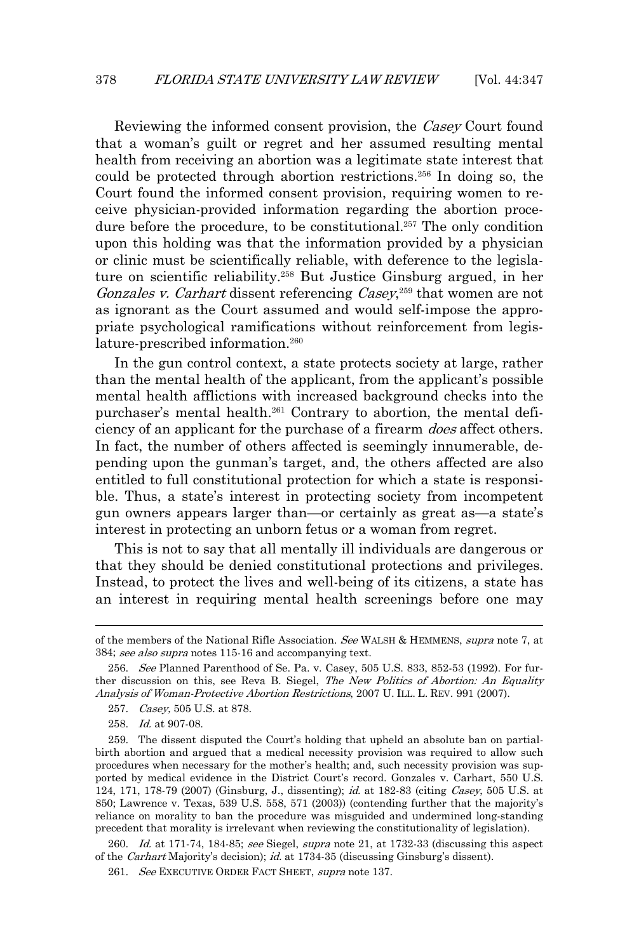Reviewing the informed consent provision, the Casey Court found that a woman's guilt or regret and her assumed resulting mental health from receiving an abortion was a legitimate state interest that could be protected through abortion restrictions.256 In doing so, the Court found the informed consent provision, requiring women to receive physician-provided information regarding the abortion procedure before the procedure, to be constitutional.<sup>257</sup> The only condition upon this holding was that the information provided by a physician or clinic must be scientifically reliable, with deference to the legislature on scientific reliability.258 But Justice Ginsburg argued, in her Gonzales v. Carhart dissent referencing Casey,<sup>259</sup> that women are not as ignorant as the Court assumed and would self-impose the appropriate psychological ramifications without reinforcement from legislature-prescribed information. 260

In the gun control context, a state protects society at large, rather than the mental health of the applicant, from the applicant's possible mental health afflictions with increased background checks into the purchaser's mental health. 261 Contrary to abortion, the mental deficiency of an applicant for the purchase of a firearm *does* affect others. In fact, the number of others affected is seemingly innumerable, depending upon the gunman's target, and, the others affected are also entitled to full constitutional protection for which a state is responsible. Thus, a state's interest in protecting society from incompetent gun owners appears larger than—or certainly as great as—a state's interest in protecting an unborn fetus or a woman from regret.

This is not to say that all mentally ill individuals are dangerous or that they should be denied constitutional protections and privileges. Instead, to protect the lives and well-being of its citizens, a state has an interest in requiring mental health screenings before one may

 $\overline{a}$ 

260. Id. at 171-74, 184-85; see Siegel, supra note 21, at 1732-33 (discussing this aspect of the Carhart Majority's decision); id. at 1734-35 (discussing Ginsburg's dissent).

261. See EXECUTIVE ORDER FACT SHEET, supra note 137.

of the members of the National Rifle Association. See WALSH & HEMMENS, supra note 7, at 384; see also supra notes 115-16 and accompanying text.

<sup>256.</sup> See Planned Parenthood of Se. Pa. v. Casey, 505 U.S. 833, 852-53 (1992). For further discussion on this, see Reva B. Siegel, The New Politics of Abortion: An Equality Analysis of Woman-Protective Abortion Restrictions, 2007 U. ILL. L. REV. 991 (2007).

<sup>257.</sup> Casey, 505 U.S. at 878.

<sup>258.</sup> Id. at 907-08.

<sup>259.</sup> The dissent disputed the Court's holding that upheld an absolute ban on partialbirth abortion and argued that a medical necessity provision was required to allow such procedures when necessary for the mother's health; and, such necessity provision was supported by medical evidence in the District Court's record. Gonzales v. Carhart, 550 U.S. 124, 171, 178-79 (2007) (Ginsburg, J., dissenting); id. at 182-83 (citing Casey, 505 U.S. at 850; Lawrence v. Texas, 539 U.S. 558, 571 (2003)) (contending further that the majority's reliance on morality to ban the procedure was misguided and undermined long-standing precedent that morality is irrelevant when reviewing the constitutionality of legislation).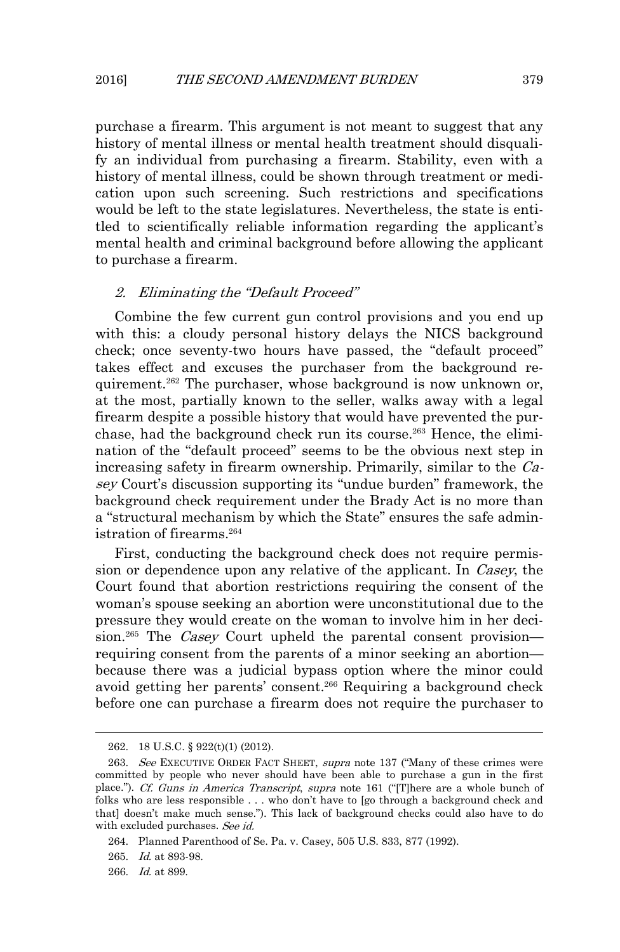purchase a firearm. This argument is not meant to suggest that any history of mental illness or mental health treatment should disqualify an individual from purchasing a firearm. Stability, even with a history of mental illness, could be shown through treatment or medication upon such screening. Such restrictions and specifications would be left to the state legislatures. Nevertheless, the state is entitled to scientifically reliable information regarding the applicant's mental health and criminal background before allowing the applicant to purchase a firearm.

#### 2. Eliminating the "Default Proceed"

Combine the few current gun control provisions and you end up with this: a cloudy personal history delays the NICS background check; once seventy-two hours have passed, the "default proceed" takes effect and excuses the purchaser from the background requirement.<sup>262</sup> The purchaser, whose background is now unknown or, at the most, partially known to the seller, walks away with a legal firearm despite a possible history that would have prevented the purchase, had the background check run its course.263 Hence, the elimination of the "default proceed" seems to be the obvious next step in increasing safety in firearm ownership. Primarily, similar to the Casey Court's discussion supporting its "undue burden" framework, the background check requirement under the Brady Act is no more than a "structural mechanism by which the State" ensures the safe administration of firearms.<sup>264</sup>

First, conducting the background check does not require permission or dependence upon any relative of the applicant. In *Casey*, the Court found that abortion restrictions requiring the consent of the woman's spouse seeking an abortion were unconstitutional due to the pressure they would create on the woman to involve him in her decision.<sup>265</sup> The Casey Court upheld the parental consent provisionrequiring consent from the parents of a minor seeking an abortion because there was a judicial bypass option where the minor could avoid getting her parents' consent.266 Requiring a background check before one can purchase a firearm does not require the purchaser to

<sup>262. 18</sup> U.S.C. § 922(t)(1) (2012).

<sup>263.</sup> See EXECUTIVE ORDER FACT SHEET, supra note 137 ("Many of these crimes were committed by people who never should have been able to purchase a gun in the first place."). Cf. Guns in America Transcript, supra note 161 ("[T]here are a whole bunch of folks who are less responsible . . . who don't have to [go through a background check and that] doesn't make much sense."). This lack of background checks could also have to do with excluded purchases. See id.

<sup>264.</sup> Planned Parenthood of Se. Pa. v. Casey, 505 U.S. 833, 877 (1992).

<sup>265.</sup> Id. at 893-98.

<sup>266.</sup> Id. at 899.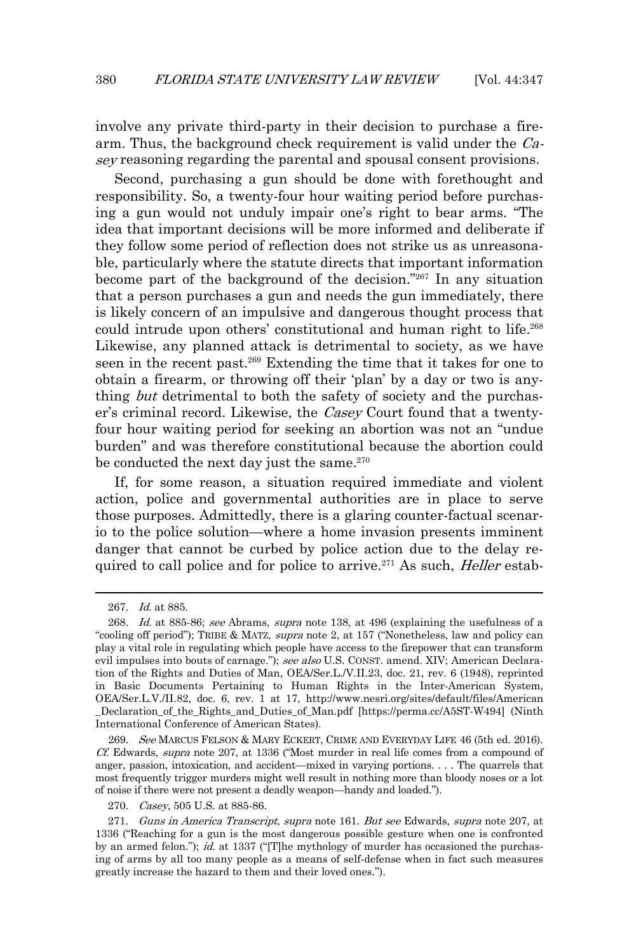involve any private third-party in their decision to purchase a firearm. Thus, the background check requirement is valid under the Casey reasoning regarding the parental and spousal consent provisions.

 Second, purchasing a gun should be done with forethought and responsibility. So, a twenty-four hour waiting period before purchasing a gun would not unduly impair one's right to bear arms. "The idea that important decisions will be more informed and deliberate if they follow some period of reflection does not strike us as unreasonable, particularly where the statute directs that important information become part of the background of the decision."267 In any situation that a person purchases a gun and needs the gun immediately, there is likely concern of an impulsive and dangerous thought process that could intrude upon others' constitutional and human right to life. 268 Likewise, any planned attack is detrimental to society, as we have seen in the recent past.269 Extending the time that it takes for one to obtain a firearm, or throwing off their 'plan' by a day or two is anything *but* detrimental to both the safety of society and the purchaser's criminal record. Likewise, the *Casey* Court found that a twentyfour hour waiting period for seeking an abortion was not an "undue burden" and was therefore constitutional because the abortion could be conducted the next day just the same. $270$ 

If, for some reason, a situation required immediate and violent action, police and governmental authorities are in place to serve those purposes. Admittedly, there is a glaring counter-factual scenario to the police solution—where a home invasion presents imminent danger that cannot be curbed by police action due to the delay required to call police and for police to arrive.<sup>271</sup> As such, *Heller* estab-

 $\overline{a}$ 

269. See MARCUS FELSON & MARY ECKERT, CRIME AND EVERYDAY LIFE 46 (5th ed. 2016). Cf. Edwards, supra note 207, at 1336 ("Most murder in real life comes from a compound of anger, passion, intoxication, and accident—mixed in varying portions. . . . The quarrels that most frequently trigger murders might well result in nothing more than bloody noses or a lot of noise if there were not present a deadly weapon—handy and loaded.").

<sup>267.</sup> Id. at 885.

<sup>268.</sup> Id. at 885-86; see Abrams, supra note 138, at 496 (explaining the usefulness of a "cooling off period"); TRIBE & MATZ, supra note 2, at 157 ("Nonetheless, law and policy can play a vital role in regulating which people have access to the firepower that can transform evil impulses into bouts of carnage."); see also U.S. CONST. amend. XIV; American Declaration of the Rights and Duties of Man, OEA/Ser.L./V.II.23, doc. 21, rev. 6 (1948), reprinted in Basic Documents Pertaining to Human Rights in the Inter-American System, OEA/Ser.L.V./II.82, doc. 6, rev. 1 at 17, http://www.nesri.org/sites/default/files/American \_Declaration\_of\_the\_Rights\_and\_Duties\_of\_Man.pdf [https://perma.cc/A5ST-W494] (Ninth International Conference of American States).

<sup>270.</sup> Casey, 505 U.S. at 885-86.

<sup>271.</sup> Guns in America Transcript, supra note 161. But see Edwards, supra note 207, at 1336 ("Reaching for a gun is the most dangerous possible gesture when one is confronted by an armed felon."); id. at 1337 ("[T]he mythology of murder has occasioned the purchasing of arms by all too many people as a means of self-defense when in fact such measures greatly increase the hazard to them and their loved ones.").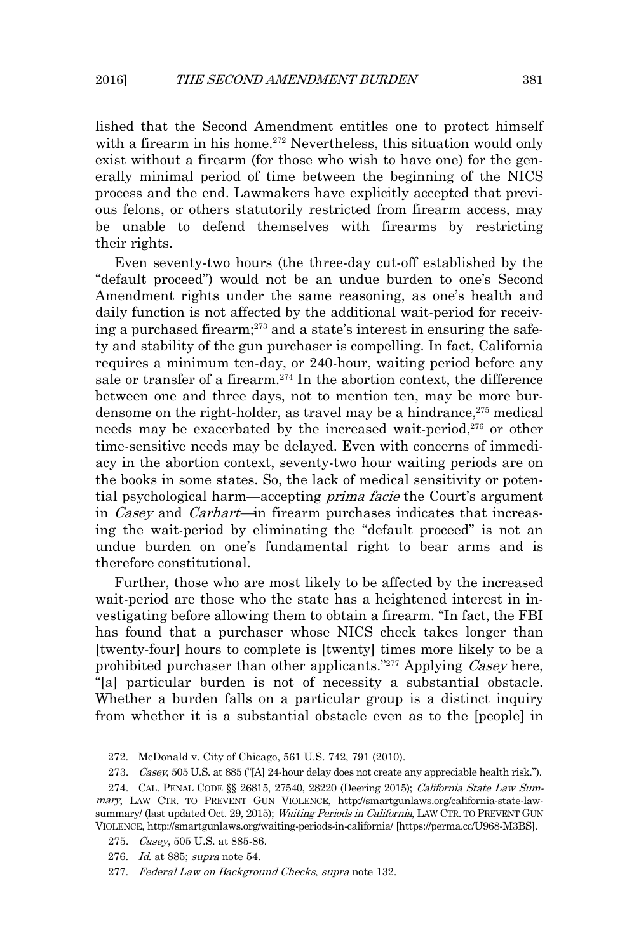lished that the Second Amendment entitles one to protect himself with a firearm in his home.<sup>272</sup> Nevertheless, this situation would only exist without a firearm (for those who wish to have one) for the generally minimal period of time between the beginning of the NICS process and the end. Lawmakers have explicitly accepted that previous felons, or others statutorily restricted from firearm access, may be unable to defend themselves with firearms by restricting their rights.

Even seventy-two hours (the three-day cut-off established by the "default proceed") would not be an undue burden to one's Second Amendment rights under the same reasoning, as one's health and daily function is not affected by the additional wait-period for receiving a purchased firearm; <sup>273</sup> and a state's interest in ensuring the safety and stability of the gun purchaser is compelling. In fact, California requires a minimum ten-day, or 240-hour, waiting period before any sale or transfer of a firearm.<sup>274</sup> In the abortion context, the difference between one and three days, not to mention ten, may be more burdensome on the right-holder, as travel may be a hindrance, <sup>275</sup> medical needs may be exacerbated by the increased wait-period,<sup>276</sup> or other time-sensitive needs may be delayed. Even with concerns of immediacy in the abortion context, seventy-two hour waiting periods are on the books in some states. So, the lack of medical sensitivity or potential psychological harm—accepting prima facie the Court's argument in Casey and Carhart—in firearm purchases indicates that increasing the wait-period by eliminating the "default proceed" is not an undue burden on one's fundamental right to bear arms and is therefore constitutional.

Further, those who are most likely to be affected by the increased wait-period are those who the state has a heightened interest in investigating before allowing them to obtain a firearm. "In fact, the FBI has found that a purchaser whose NICS check takes longer than [twenty-four] hours to complete is [twenty] times more likely to be a prohibited purchaser than other applicants."<sup>277</sup> Applying *Casey* here, "[a] particular burden is not of necessity a substantial obstacle. Whether a burden falls on a particular group is a distinct inquiry from whether it is a substantial obstacle even as to the [people] in

<sup>272.</sup> McDonald v. City of Chicago, 561 U.S. 742, 791 (2010).

<sup>273.</sup> Casey, 505 U.S. at 885 ("[A] 24-hour delay does not create any appreciable health risk.").

<sup>274.</sup> CAL. PENAL CODE §§ 26815, 27540, 28220 (Deering 2015); California State Law Summary, LAW CTR. TO PREVENT GUN VIOLENCE, http://smartgunlaws.org/california-state-lawsummary/ (last updated Oct. 29, 2015); Waiting Periods in California, LAW CTR. TO PREVENT GUN VIOLENCE, http://smartgunlaws.org/waiting-periods-in-california/ [https://perma.cc/U968-M3BS].

<sup>275.</sup> Casey, 505 U.S. at 885-86.

<sup>276.</sup> Id. at 885; supra note 54.

<sup>277.</sup> Federal Law on Background Checks, supra note 132.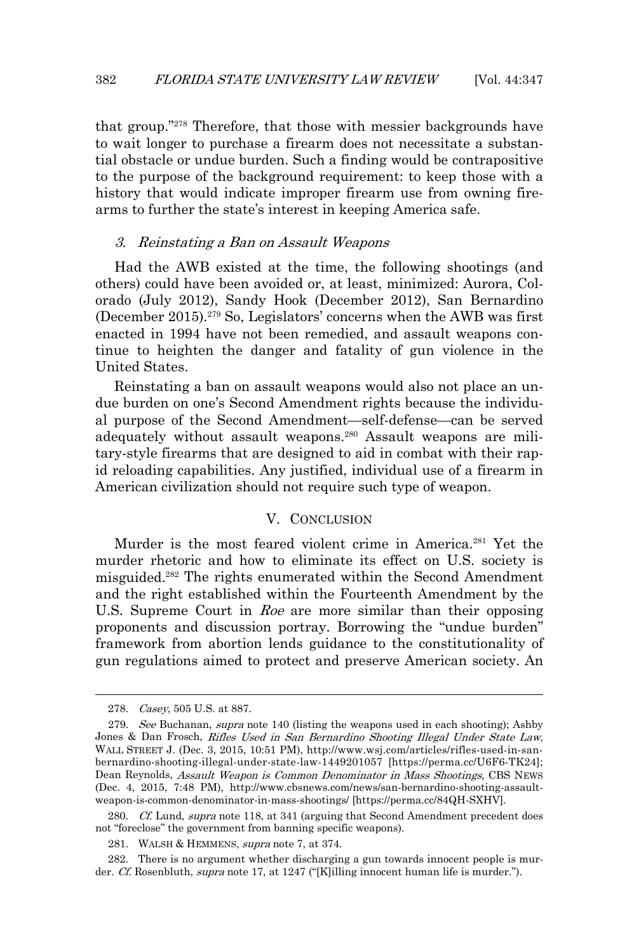that group."278 Therefore, that those with messier backgrounds have to wait longer to purchase a firearm does not necessitate a substantial obstacle or undue burden. Such a finding would be contrapositive to the purpose of the background requirement: to keep those with a history that would indicate improper firearm use from owning firearms to further the state's interest in keeping America safe.

#### 3. Reinstating a Ban on Assault Weapons

Had the AWB existed at the time, the following shootings (and others) could have been avoided or, at least, minimized: Aurora, Colorado (July 2012), Sandy Hook (December 2012), San Bernardino (December 2015). <sup>279</sup> So, Legislators' concerns when the AWB was first enacted in 1994 have not been remedied, and assault weapons continue to heighten the danger and fatality of gun violence in the United States.

Reinstating a ban on assault weapons would also not place an undue burden on one's Second Amendment rights because the individual purpose of the Second Amendment—self-defense—can be served adequately without assault weapons.280 Assault weapons are military-style firearms that are designed to aid in combat with their rapid reloading capabilities. Any justified, individual use of a firearm in American civilization should not require such type of weapon.

#### V. CONCLUSION

Murder is the most feared violent crime in America.281 Yet the murder rhetoric and how to eliminate its effect on U.S. society is misguided.282 The rights enumerated within the Second Amendment and the right established within the Fourteenth Amendment by the U.S. Supreme Court in Roe are more similar than their opposing proponents and discussion portray. Borrowing the "undue burden" framework from abortion lends guidance to the constitutionality of gun regulations aimed to protect and preserve American society. An

<sup>278.</sup> Casey, 505 U.S. at 887.

<sup>279.</sup> See Buchanan, supra note 140 (listing the weapons used in each shooting); Ashby Jones & Dan Frosch, Rifles Used in San Bernardino Shooting Illegal Under State Law, WALL STREET J. (Dec. 3, 2015, 10:51 PM), http://www.wsj.com/articles/rifles-used-in-sanbernardino-shooting-illegal-under-state-law-1449201057 [https://perma.cc/U6F6-TK24]; Dean Reynolds, Assault Weapon is Common Denominator in Mass Shootings, CBS NEWS (Dec. 4, 2015, 7:48 PM), http://www.cbsnews.com/news/san-bernardino-shooting-assaultweapon-is-common-denominator-in-mass-shootings/ [https://perma.cc/84QH-SXHV].

<sup>280.</sup> Cf. Lund, *supra* note 118, at 341 (arguing that Second Amendment precedent does not "foreclose" the government from banning specific weapons).

<sup>281.</sup> WALSH & HEMMENS, supra note 7, at 374.

<sup>282.</sup> There is no argument whether discharging a gun towards innocent people is murder. Cf. Rosenbluth, supra note 17, at 1247 ("[K]illing innocent human life is murder.").